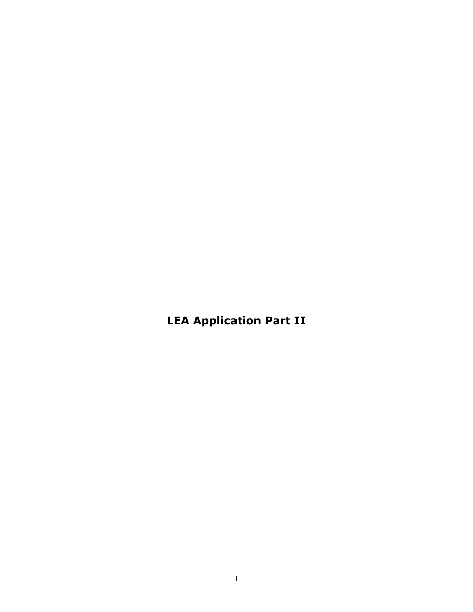**LEA Application Part II**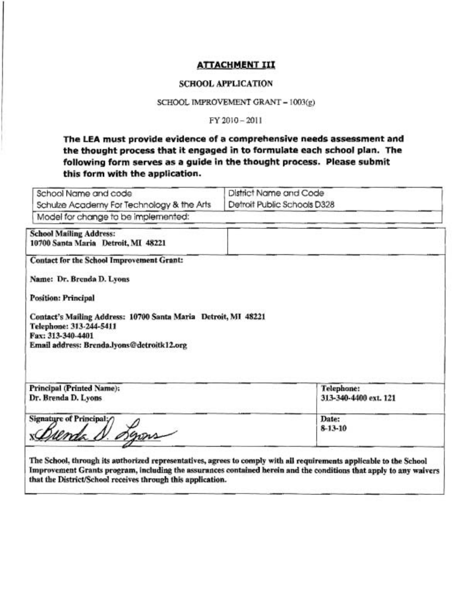### **ATTACHMENT III**

#### **SCHOOL APPLICATION**

SCHOOL IMPROVEMENT GRANT - 1003(g)

FY 2010-2011

**The LEA must provide evidence** *of* **a campreherwive needs assessment and the thought process that it engaged in** *to* **farmulate each school plan. The following form serves as a guide in the thought precess. Please submit this farm with the application.** 

| School Name and code                                                                                                                                                                                                                                                 | <b>District Name and Code</b>                                                                                                                                                                                                             |
|----------------------------------------------------------------------------------------------------------------------------------------------------------------------------------------------------------------------------------------------------------------------|-------------------------------------------------------------------------------------------------------------------------------------------------------------------------------------------------------------------------------------------|
| Schulze Academy For Technology & the Arts                                                                                                                                                                                                                            | Detroit Public Schools D328                                                                                                                                                                                                               |
| Model for change to be implemented:                                                                                                                                                                                                                                  |                                                                                                                                                                                                                                           |
| <b>School Mailing Address:</b><br>10700 Santa Maria Detroit, MI 48221                                                                                                                                                                                                |                                                                                                                                                                                                                                           |
| Contact for the School Improvement Grant:<br>Name: Dr. Brenda D. Lyons<br><b>Position: Principal</b><br>Contact's Mailing Address: 10700 Santa Maria Detroit, MI 48221<br>Telephone: 313-244-5411<br>Fax: 313-340-4401<br>Email address: Brenda.lyons@detroitk12.org |                                                                                                                                                                                                                                           |
| Principal (Printed Name):<br>Dr. Brenda D. Lyons                                                                                                                                                                                                                     | Telephone:<br>313-340-4400 ext. 121                                                                                                                                                                                                       |
| Signature of Principal;∕                                                                                                                                                                                                                                             | Date:<br>8-13-10                                                                                                                                                                                                                          |
| that the District/School receives through this application.                                                                                                                                                                                                          | The School, through its authorized representatives, agrees to comply with all requirements applicable to the School<br>Improvement Grants program, including the assurances contained herein and the conditions that apply to any waivers |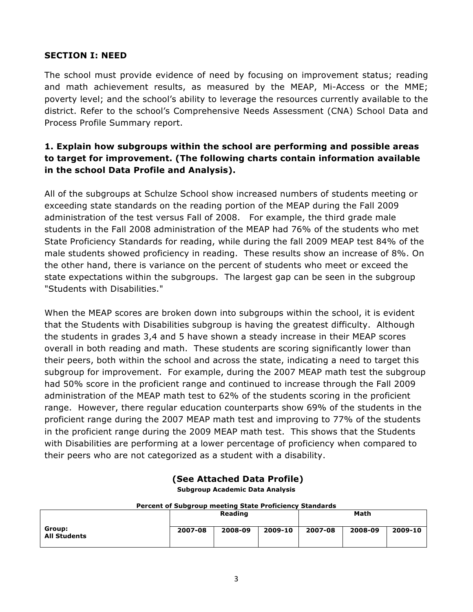#### **SECTION I: NEED**

The school must provide evidence of need by focusing on improvement status; reading and math achievement results, as measured by the MEAP, Mi-Access or the MME; poverty level; and the school's ability to leverage the resources currently available to the district. Refer to the school's Comprehensive Needs Assessment (CNA) School Data and Process Profile Summary report.

### **1. Explain how subgroups within the school are performing and possible areas to target for improvement. (The following charts contain information available in the school Data Profile and Analysis).**

All of the subgroups at Schulze School show increased numbers of students meeting or exceeding state standards on the reading portion of the MEAP during the Fall 2009 administration of the test versus Fall of 2008. For example, the third grade male students in the Fall 2008 administration of the MEAP had 76% of the students who met State Proficiency Standards for reading, while during the fall 2009 MEAP test 84% of the male students showed proficiency in reading. These results show an increase of 8%. On the other hand, there is variance on the percent of students who meet or exceed the state expectations within the subgroups. The largest gap can be seen in the subgroup "Students with Disabilities."

When the MEAP scores are broken down into subgroups within the school, it is evident that the Students with Disabilities subgroup is having the greatest difficulty. Although the students in grades 3,4 and 5 have shown a steady increase in their MEAP scores overall in both reading and math. These students are scoring significantly lower than their peers, both within the school and across the state, indicating a need to target this subgroup for improvement. For example, during the 2007 MEAP math test the subgroup had 50% score in the proficient range and continued to increase through the Fall 2009 administration of the MEAP math test to 62% of the students scoring in the proficient range. However, there regular education counterparts show 69% of the students in the proficient range during the 2007 MEAP math test and improving to 77% of the students in the proficient range during the 2009 MEAP math test. This shows that the Students with Disabilities are performing at a lower percentage of proficiency when compared to their peers who are not categorized as a student with a disability.

## **(See Attached Data Profile)**

**Subgroup Academic Data Analysis**

| Percent of Subgroup meeting State Proficiency Standards |         |                |         |         |         |         |  |  |  |
|---------------------------------------------------------|---------|----------------|---------|---------|---------|---------|--|--|--|
|                                                         |         | <b>Reading</b> |         |         | Math    |         |  |  |  |
| Group:<br><b>All Students</b>                           | 2007-08 | 2008-09        | 2009-10 | 2007-08 | 2008-09 | 2009-10 |  |  |  |

#### **Percent of Subgroup meeting State Proficiency Standards**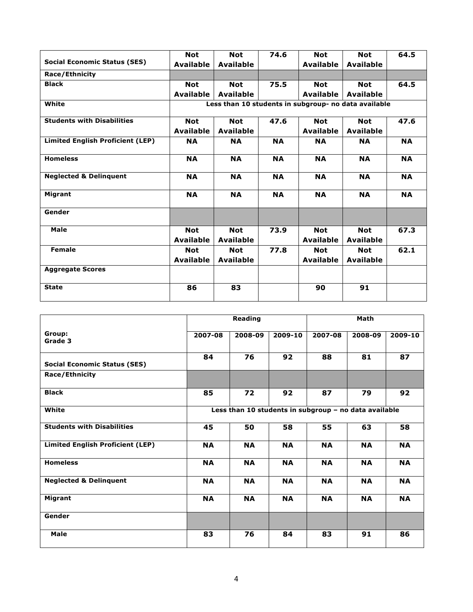|                                         | <b>Not</b>       | <b>Not</b>                                           | 74.6      | <b>Not</b>       | <b>Not</b>       | 64.5      |  |  |  |  |
|-----------------------------------------|------------------|------------------------------------------------------|-----------|------------------|------------------|-----------|--|--|--|--|
| <b>Social Economic Status (SES)</b>     | <b>Available</b> | <b>Available</b>                                     |           | <b>Available</b> | <b>Available</b> |           |  |  |  |  |
| <b>Race/Ethnicity</b>                   |                  |                                                      |           |                  |                  |           |  |  |  |  |
| <b>Black</b>                            | <b>Not</b>       | <b>Not</b>                                           | 75.5      | <b>Not</b>       | <b>Not</b>       | 64.5      |  |  |  |  |
|                                         | <b>Available</b> | <b>Available</b>                                     |           | <b>Available</b> | <b>Available</b> |           |  |  |  |  |
| White                                   |                  | Less than 10 students in subgroup- no data available |           |                  |                  |           |  |  |  |  |
| <b>Students with Disabilities</b>       | <b>Not</b>       | <b>Not</b>                                           | 47.6      | <b>Not</b>       | <b>Not</b>       | 47.6      |  |  |  |  |
|                                         | <b>Available</b> | <b>Available</b>                                     |           | <b>Available</b> | <b>Available</b> |           |  |  |  |  |
| <b>Limited English Proficient (LEP)</b> | <b>NA</b>        | <b>NA</b>                                            | <b>NA</b> | <b>NA</b>        | <b>NA</b>        | <b>NA</b> |  |  |  |  |
| <b>Homeless</b>                         | <b>NA</b>        | <b>NA</b>                                            | <b>NA</b> | <b>NA</b>        | <b>NA</b>        | <b>NA</b> |  |  |  |  |
| <b>Neglected &amp; Delinguent</b>       | <b>NA</b>        | <b>NA</b>                                            | <b>NA</b> | <b>NA</b>        | <b>NA</b>        | <b>NA</b> |  |  |  |  |
| Migrant                                 | <b>NA</b>        | <b>NA</b>                                            | <b>NA</b> | <b>NA</b>        | <b>NA</b>        | <b>NA</b> |  |  |  |  |
| Gender                                  |                  |                                                      |           |                  |                  |           |  |  |  |  |
| Male                                    | <b>Not</b>       | <b>Not</b>                                           | 73.9      | <b>Not</b>       | <b>Not</b>       | 67.3      |  |  |  |  |
|                                         | <b>Available</b> | <b>Available</b>                                     |           | <b>Available</b> | <b>Available</b> |           |  |  |  |  |
| <b>Female</b>                           | <b>Not</b>       | <b>Not</b>                                           | 77.8      | <b>Not</b>       | <b>Not</b>       | 62.1      |  |  |  |  |
|                                         | <b>Available</b> | <b>Available</b>                                     |           | <b>Available</b> | <b>Available</b> |           |  |  |  |  |
| <b>Aggregate Scores</b>                 |                  |                                                      |           |                  |                  |           |  |  |  |  |
| <b>State</b>                            | 86               | 83                                                   |           | 90               | 91               |           |  |  |  |  |

|                                         |                                                       | <b>Reading</b> |           |           | Math      |           |  |  |  |
|-----------------------------------------|-------------------------------------------------------|----------------|-----------|-----------|-----------|-----------|--|--|--|
| Group:<br>Grade 3                       | 2007-08                                               | 2008-09        | 2009-10   | 2007-08   | 2008-09   | 2009-10   |  |  |  |
| <b>Social Economic Status (SES)</b>     | 84                                                    | 76             | 92        | 88        | 81        | 87        |  |  |  |
| Race/Ethnicity                          |                                                       |                |           |           |           |           |  |  |  |
| <b>Black</b>                            | 85                                                    | 72             | 92        | 87        | 79        | 92        |  |  |  |
| White                                   | Less than 10 students in subgroup - no data available |                |           |           |           |           |  |  |  |
| <b>Students with Disabilities</b>       | 45                                                    | 50             | 58        | 55        | 63        | 58        |  |  |  |
| <b>Limited English Proficient (LEP)</b> | <b>NA</b>                                             | <b>NA</b>      | <b>NA</b> | <b>NA</b> | <b>NA</b> | <b>NA</b> |  |  |  |
| <b>Homeless</b>                         | <b>NA</b>                                             | <b>NA</b>      | <b>NA</b> | <b>NA</b> | <b>NA</b> | <b>NA</b> |  |  |  |
| <b>Neglected &amp; Delinquent</b>       | <b>NA</b>                                             | <b>NA</b>      | <b>NA</b> | <b>NA</b> | <b>NA</b> | <b>NA</b> |  |  |  |
| Migrant                                 | <b>NA</b>                                             | <b>NA</b>      | <b>NA</b> | <b>NA</b> | <b>NA</b> | <b>NA</b> |  |  |  |
| Gender                                  |                                                       |                |           |           |           |           |  |  |  |
| Male                                    | 83                                                    | 76             | 84        | 83        | 91        | 86        |  |  |  |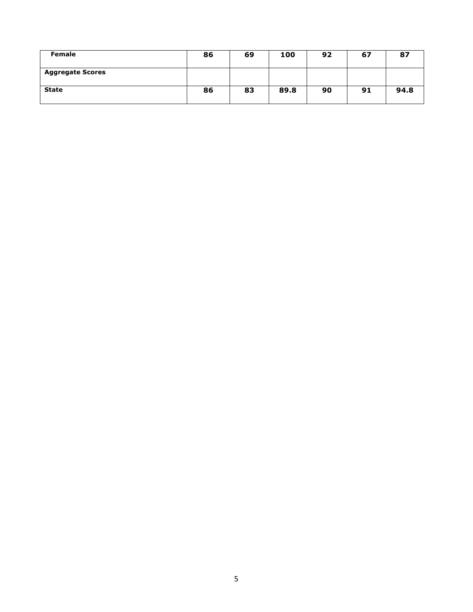| Female                  | 86 | 69 | 100  | 92 | 67 | 87   |
|-------------------------|----|----|------|----|----|------|
| <b>Aggregate Scores</b> |    |    |      |    |    |      |
| <b>State</b>            | 86 | 83 | 89.8 | 90 | 91 | 94.8 |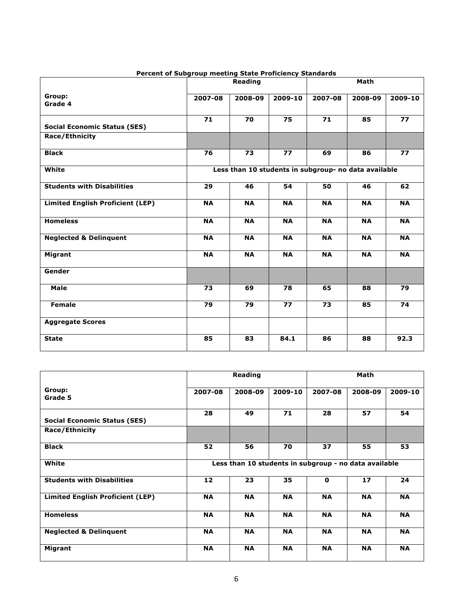|                                         |                                                      | Reading   |             | Math      |           |           |  |  |
|-----------------------------------------|------------------------------------------------------|-----------|-------------|-----------|-----------|-----------|--|--|
| Group:<br>Grade 4                       | 2007-08                                              | 2008-09   | $2009 - 10$ | 2007-08   | 2008-09   | 2009-10   |  |  |
| <b>Social Economic Status (SES)</b>     | 71                                                   | 70        | 75          | 71        | 85        | 77        |  |  |
| <b>Race/Ethnicity</b>                   |                                                      |           |             |           |           |           |  |  |
| <b>Black</b>                            | 76                                                   | 73        | 77          | 69        | 86        | 77        |  |  |
| White                                   | Less than 10 students in subgroup- no data available |           |             |           |           |           |  |  |
| <b>Students with Disabilities</b>       | 29                                                   | 46        | 54          | 50        | 46        | 62        |  |  |
| <b>Limited English Proficient (LEP)</b> | <b>NA</b>                                            | <b>NA</b> | <b>NA</b>   | <b>NA</b> | <b>NA</b> | <b>NA</b> |  |  |
| <b>Homeless</b>                         | <b>NA</b>                                            | <b>NA</b> | <b>NA</b>   | <b>NA</b> | <b>NA</b> | <b>NA</b> |  |  |
| <b>Neglected &amp; Delinquent</b>       | <b>NA</b>                                            | <b>NA</b> | <b>NA</b>   | <b>NA</b> | <b>NA</b> | <b>NA</b> |  |  |
| Migrant                                 | <b>NA</b>                                            | <b>NA</b> | <b>NA</b>   | <b>NA</b> | <b>NA</b> | <b>NA</b> |  |  |
| Gender                                  |                                                      |           |             |           |           |           |  |  |
| Male                                    | 73                                                   | 69        | 78          | 65        | 88        | 79        |  |  |
| <b>Female</b>                           | 79                                                   | 79        | 77          | 73        | 85        | 74        |  |  |
| <b>Aggregate Scores</b>                 |                                                      |           |             |           |           |           |  |  |
| <b>State</b>                            | 85                                                   | 83        | 84.1        | 86        | 88        | 92.3      |  |  |

#### **Percent of Subgroup meeting State Proficiency Standards**

|                                         |                                                       | Reading   |           | Math         |           |           |  |  |
|-----------------------------------------|-------------------------------------------------------|-----------|-----------|--------------|-----------|-----------|--|--|
| Group:<br>Grade 5                       | 2007-08                                               | 2008-09   | 2009-10   | 2007-08      | 2008-09   | 2009-10   |  |  |
| <b>Social Economic Status (SES)</b>     | 28                                                    | 49        | 71        | 28           | 57        | 54        |  |  |
| <b>Race/Ethnicity</b>                   |                                                       |           |           |              |           |           |  |  |
| <b>Black</b>                            | 52                                                    | 56        | 70        | 37           | 55        | 53        |  |  |
| White                                   | Less than 10 students in subgroup - no data available |           |           |              |           |           |  |  |
| <b>Students with Disabilities</b>       | 12                                                    | 23        | 35        | $\mathbf{0}$ | 17        | 24        |  |  |
| <b>Limited English Proficient (LEP)</b> | <b>NA</b>                                             | <b>NA</b> | <b>NA</b> | <b>NA</b>    | <b>NA</b> | <b>NA</b> |  |  |
| <b>Homeless</b>                         | <b>NA</b>                                             | <b>NA</b> | <b>NA</b> | <b>NA</b>    | <b>NA</b> | <b>NA</b> |  |  |
| <b>Neglected &amp; Delinquent</b>       | <b>NA</b>                                             | <b>NA</b> | <b>NA</b> | <b>NA</b>    | <b>NA</b> | <b>NA</b> |  |  |
| Migrant                                 | <b>NA</b>                                             | <b>NA</b> | <b>NA</b> | <b>NA</b>    | <b>NA</b> | <b>NA</b> |  |  |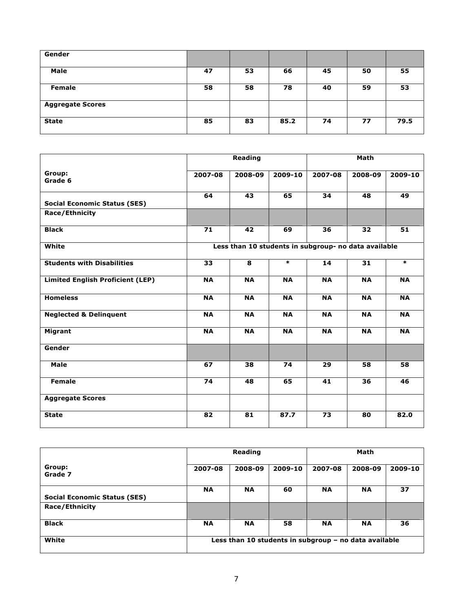| Gender                  |    |    |      |    |    |      |
|-------------------------|----|----|------|----|----|------|
| Male                    | 47 | 53 | 66   | 45 | 50 | 55   |
| Female                  | 58 | 58 | 78   | 40 | 59 | 53   |
| <b>Aggregate Scores</b> |    |    |      |    |    |      |
| <b>State</b>            | 85 | 83 | 85.2 | 74 | 77 | 79.5 |

|                                         |                                                      | <b>Reading</b> |           |           |           |           |  |  |
|-----------------------------------------|------------------------------------------------------|----------------|-----------|-----------|-----------|-----------|--|--|
| Group:<br>Grade 6                       | 2007-08                                              | 2008-09        | 2009-10   | 2007-08   | 2008-09   | 2009-10   |  |  |
| <b>Social Economic Status (SES)</b>     | 64                                                   | 43             | 65        | 34        | 48        | 49        |  |  |
| Race/Ethnicity                          |                                                      |                |           |           |           |           |  |  |
| <b>Black</b>                            | 71                                                   | 42             | 69        | 36        | 32        | 51        |  |  |
| White                                   | Less than 10 students in subgroup- no data available |                |           |           |           |           |  |  |
| <b>Students with Disabilities</b>       | 33                                                   | 8              | $\ast$    | 14        | 31        | $\ast$    |  |  |
| <b>Limited English Proficient (LEP)</b> | <b>NA</b>                                            | <b>NA</b>      | <b>NA</b> | <b>NA</b> | <b>NA</b> | <b>NA</b> |  |  |
| <b>Homeless</b>                         | <b>NA</b>                                            | <b>NA</b>      | <b>NA</b> | <b>NA</b> | <b>NA</b> | <b>NA</b> |  |  |
| <b>Neglected &amp; Delinquent</b>       | <b>NA</b>                                            | <b>NA</b>      | <b>NA</b> | <b>NA</b> | <b>NA</b> | <b>NA</b> |  |  |
| Migrant                                 | <b>NA</b>                                            | <b>NA</b>      | <b>NA</b> | <b>NA</b> | <b>NA</b> | <b>NA</b> |  |  |
| Gender                                  |                                                      |                |           |           |           |           |  |  |
| Male                                    | 67                                                   | 38             | 74        | 29        | 58        | 58        |  |  |
| <b>Female</b>                           | 74                                                   | 48             | 65        | 41        | 36        | 46        |  |  |
| <b>Aggregate Scores</b>                 |                                                      |                |           |           |           |           |  |  |
| <b>State</b>                            | 82                                                   | 81             | 87.7      | 73        | 80        | 82.0      |  |  |

|                                     | Reading                                               |           |         | Math      |           |         |  |
|-------------------------------------|-------------------------------------------------------|-----------|---------|-----------|-----------|---------|--|
| Group:<br>Grade 7                   | 2007-08                                               | 2008-09   | 2009-10 | 2007-08   | 2008-09   | 2009-10 |  |
| <b>Social Economic Status (SES)</b> | <b>NA</b>                                             | <b>NA</b> | 60      | <b>NA</b> | <b>NA</b> | 37      |  |
| <b>Race/Ethnicity</b>               |                                                       |           |         |           |           |         |  |
| <b>Black</b>                        | <b>NA</b>                                             | <b>NA</b> | 58      | <b>NA</b> | <b>NA</b> | 36      |  |
| White                               | Less than 10 students in subgroup - no data available |           |         |           |           |         |  |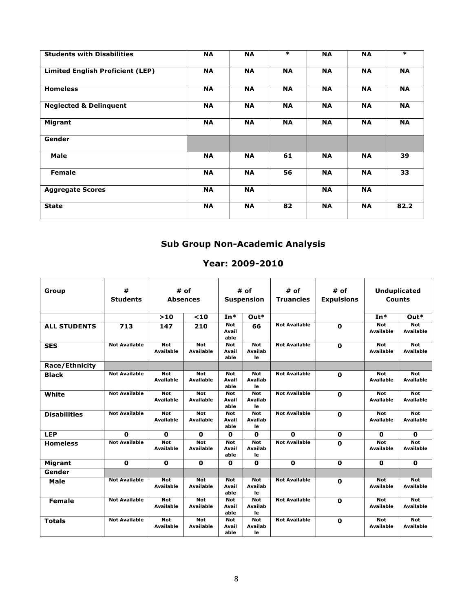| <b>Students with Disabilities</b>       | <b>NA</b> | <b>NA</b> | $\ast$    | <b>NA</b> | <b>NA</b> | $\ast$    |
|-----------------------------------------|-----------|-----------|-----------|-----------|-----------|-----------|
| <b>Limited English Proficient (LEP)</b> | <b>NA</b> | <b>NA</b> | <b>NA</b> | <b>NA</b> | <b>NA</b> | <b>NA</b> |
| <b>Homeless</b>                         | <b>NA</b> | <b>NA</b> | <b>NA</b> | <b>NA</b> | <b>NA</b> | <b>NA</b> |
| <b>Neglected &amp; Delinquent</b>       | <b>NA</b> | <b>NA</b> | <b>NA</b> | <b>NA</b> | <b>NA</b> | <b>NA</b> |
| <b>Migrant</b>                          | <b>NA</b> | <b>NA</b> | <b>NA</b> | <b>NA</b> | <b>NA</b> | <b>NA</b> |
| Gender                                  |           |           |           |           |           |           |
| Male                                    | <b>NA</b> | <b>NA</b> | 61        | <b>NA</b> | <b>NA</b> | 39        |
| Female                                  | <b>NA</b> | <b>NA</b> | 56        | <b>NA</b> | <b>NA</b> | 33        |
| <b>Aggregate Scores</b>                 | <b>NA</b> | <b>NA</b> |           | <b>NA</b> | <b>NA</b> |           |
| <b>State</b>                            | <b>NA</b> | <b>NA</b> | 82        | <b>NA</b> | <b>NA</b> | 82.2      |

# **Sub Group Non-Academic Analysis**

### **Year: 2009-2010**

| Group                 | #<br><b>Students</b> |                                | # of<br><b>Absences</b>        |                             | # of<br><b>Suspension</b>          | # of<br><b>Truancies</b> | # of<br><b>Expulsions</b> | <b>Unduplicated</b><br>Counts  |                                |
|-----------------------|----------------------|--------------------------------|--------------------------------|-----------------------------|------------------------------------|--------------------------|---------------------------|--------------------------------|--------------------------------|
|                       |                      | $>10$                          | $10$                           | $In*$                       | $Out*$                             |                          |                           | $In*$                          | $Out*$                         |
| <b>ALL STUDENTS</b>   | 713                  | 147                            | 210                            | <b>Not</b><br>Avail<br>able | 66                                 | <b>Not Available</b>     | 0                         | <b>Not</b><br><b>Available</b> | <b>Not</b><br><b>Available</b> |
| <b>SES</b>            | <b>Not Available</b> | <b>Not</b><br><b>Available</b> | <b>Not</b><br><b>Available</b> | <b>Not</b><br>Avail<br>able | <b>Not</b><br>Availab<br>le        | <b>Not Available</b>     | $\mathbf{0}$              | <b>Not</b><br><b>Available</b> | <b>Not</b><br><b>Available</b> |
| <b>Race/Ethnicity</b> |                      |                                |                                |                             |                                    |                          |                           |                                |                                |
| <b>Black</b>          | <b>Not Available</b> | <b>Not</b><br><b>Available</b> | <b>Not</b><br><b>Available</b> | <b>Not</b><br>Avail<br>able | <b>Not</b><br><b>Availab</b><br>le | <b>Not Available</b>     | 0                         | <b>Not</b><br><b>Available</b> | <b>Not</b><br><b>Available</b> |
| White                 | <b>Not Available</b> | <b>Not</b><br><b>Available</b> | <b>Not</b><br><b>Available</b> | <b>Not</b><br>Avail<br>able | <b>Not</b><br><b>Availab</b><br>le | <b>Not Available</b>     | $\mathbf{0}$              | <b>Not</b><br>Available        | <b>Not</b><br><b>Available</b> |
| <b>Disabilities</b>   | <b>Not Available</b> | <b>Not</b><br><b>Available</b> | <b>Not</b><br><b>Available</b> | <b>Not</b><br>Avail<br>able | <b>Not</b><br><b>Availab</b><br>le | <b>Not Available</b>     | 0                         | <b>Not</b><br><b>Available</b> | <b>Not</b><br><b>Available</b> |
| <b>LEP</b>            | O                    | 0                              | 0                              | 0                           | 0                                  | $\mathbf 0$              | 0                         | 0                              | $\mathbf 0$                    |
| <b>Homeless</b>       | <b>Not Available</b> | <b>Not</b><br><b>Available</b> | <b>Not</b><br><b>Available</b> | <b>Not</b><br>Avail<br>able | <b>Not</b><br>Availab<br>le        | <b>Not Available</b>     | $\mathbf o$               | <b>Not</b><br><b>Available</b> | <b>Not</b><br><b>Available</b> |
| <b>Migrant</b>        | 0                    | 0                              | 0                              | 0                           | 0                                  | 0                        | 0                         | 0                              | $\Omega$                       |
| Gender                |                      |                                |                                |                             |                                    |                          |                           |                                |                                |
| Male                  | <b>Not Available</b> | <b>Not</b><br><b>Available</b> | <b>Not</b><br><b>Available</b> | <b>Not</b><br>Avail<br>able | <b>Not</b><br><b>Availab</b><br>le | <b>Not Available</b>     | 0                         | <b>Not</b><br><b>Available</b> | <b>Not</b><br><b>Available</b> |
| <b>Female</b>         | <b>Not Available</b> | <b>Not</b><br><b>Available</b> | <b>Not</b><br><b>Available</b> | <b>Not</b><br>Avail<br>able | <b>Not</b><br><b>Availab</b><br>le | <b>Not Available</b>     | 0                         | <b>Not</b><br><b>Available</b> | <b>Not</b><br><b>Available</b> |
| <b>Totals</b>         | <b>Not Available</b> | <b>Not</b><br><b>Available</b> | <b>Not</b><br>Available        | <b>Not</b><br>Avail<br>able | <b>Not</b><br><b>Availab</b><br>le | <b>Not Available</b>     | $\mathbf 0$               | <b>Not</b><br><b>Available</b> | <b>Not</b><br><b>Available</b> |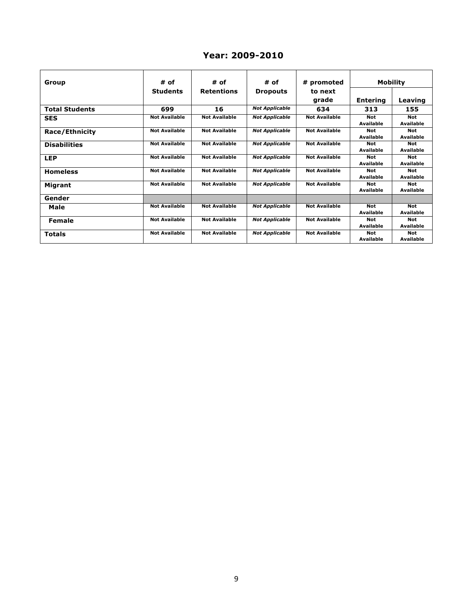### **Year: 2009-2010**

| Group                 | # of                 | # of                 | # of                  | # promoted           | Mobility        |                  |
|-----------------------|----------------------|----------------------|-----------------------|----------------------|-----------------|------------------|
|                       | <b>Students</b>      | <b>Retentions</b>    | <b>Dropouts</b>       | to next              |                 |                  |
|                       |                      |                      |                       | grade                | <b>Entering</b> | Leaving          |
| <b>Total Students</b> | 699                  | 16                   | <b>Not Applicable</b> | 634                  | 313             | 155              |
| <b>SES</b>            | <b>Not Available</b> | <b>Not Available</b> | <b>Not Applicable</b> | <b>Not Available</b> | <b>Not</b>      | <b>Not</b>       |
|                       |                      |                      |                       |                      | Available       | Available        |
| Race/Ethnicity        | <b>Not Available</b> | <b>Not Available</b> | <b>Not Applicable</b> | <b>Not Available</b> | <b>Not</b>      | <b>Not</b>       |
|                       |                      |                      |                       |                      | Available       | Available        |
| <b>Disabilities</b>   | <b>Not Available</b> | <b>Not Available</b> | <b>Not Applicable</b> | <b>Not Available</b> | <b>Not</b>      | <b>Not</b>       |
|                       |                      |                      |                       |                      | Available       | <b>Available</b> |
| <b>LEP</b>            | <b>Not Available</b> | <b>Not Available</b> | <b>Not Applicable</b> | <b>Not Available</b> | <b>Not</b>      | <b>Not</b>       |
|                       |                      |                      |                       |                      | Available       | Available        |
| <b>Homeless</b>       | <b>Not Available</b> | <b>Not Available</b> | <b>Not Applicable</b> | <b>Not Available</b> | <b>Not</b>      | <b>Not</b>       |
|                       |                      |                      |                       |                      | Available       | <b>Available</b> |
| Migrant               | <b>Not Available</b> | <b>Not Available</b> | <b>Not Applicable</b> | <b>Not Available</b> | <b>Not</b>      | <b>Not</b>       |
|                       |                      |                      |                       |                      | Available       | <b>Available</b> |
| Gender                |                      |                      |                       |                      |                 |                  |
| Male                  | <b>Not Available</b> | <b>Not Available</b> | <b>Not Applicable</b> | <b>Not Available</b> | Not             | <b>Not</b>       |
|                       |                      |                      |                       |                      | Available       | <b>Available</b> |
| <b>Female</b>         | <b>Not Available</b> | <b>Not Available</b> | <b>Not Applicable</b> | <b>Not Available</b> | Not             | <b>Not</b>       |
|                       |                      |                      |                       |                      | Available       | Available        |
| <b>Totals</b>         | <b>Not Available</b> | <b>Not Available</b> | <b>Not Applicable</b> | <b>Not Available</b> | <b>Not</b>      | <b>Not</b>       |
|                       |                      |                      |                       |                      | Available       | Available        |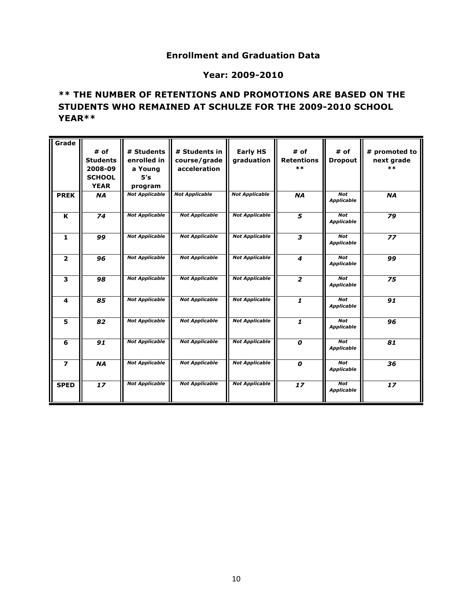### **Enrollment and Graduation Data**

#### **Year: 2009-2010**

### **\*\* THE NUMBER OF RETENTIONS AND PROMOTIONS ARE BASED ON THE STUDENTS WHO REMAINED AT SCHULZE FOR THE 2009-2010 SCHOOL YEAR\*\***

| Grade                    |                 |                       |                       |                       |                   |                                 |               |
|--------------------------|-----------------|-----------------------|-----------------------|-----------------------|-------------------|---------------------------------|---------------|
|                          | # of            | # Students            | # Students in         | <b>Early HS</b>       | # of              | # of                            | # promoted to |
|                          | <b>Students</b> | enrolled in           | course/grade          | graduation            | <b>Retentions</b> | <b>Dropout</b>                  | next grade    |
|                          | 2008-09         | a Young               | acceleration          |                       | $***$             |                                 | $***$         |
|                          | <b>SCHOOL</b>   | 5's                   |                       |                       |                   |                                 |               |
|                          | <b>YEAR</b>     | program               |                       |                       |                   |                                 |               |
| <b>PREK</b>              | <b>NA</b>       | <b>Not Applicable</b> | <b>Not Applicable</b> | <b>Not Applicable</b> | <b>NA</b>         | <b>Not</b>                      | <b>NA</b>     |
|                          |                 |                       |                       |                       |                   | <b>Applicable</b>               |               |
| K                        | 74              | <b>Not Applicable</b> | <b>Not Applicable</b> | <b>Not Applicable</b> | 5                 | <b>Not</b>                      | 79            |
|                          |                 |                       |                       |                       |                   | <b>Applicable</b>               |               |
|                          |                 |                       |                       |                       |                   | <b>Not</b>                      |               |
| $\mathbf{1}$             | 99              | <b>Not Applicable</b> | <b>Not Applicable</b> | <b>Not Applicable</b> | 3                 | <b>Applicable</b>               | 77            |
|                          |                 |                       |                       |                       |                   |                                 |               |
| $\overline{2}$           | 96              | <b>Not Applicable</b> | <b>Not Applicable</b> | <b>Not Applicable</b> | $\boldsymbol{4}$  | <b>Not</b>                      | 99            |
|                          |                 |                       |                       |                       |                   | <b>Applicable</b>               |               |
| 3                        | 98              | <b>Not Applicable</b> | <b>Not Applicable</b> | <b>Not Applicable</b> | $\overline{2}$    | <b>Not</b>                      | 75            |
|                          |                 |                       |                       |                       |                   | <b>Applicable</b>               |               |
| 4                        | 85              | <b>Not Applicable</b> | <b>Not Applicable</b> | <b>Not Applicable</b> | 1                 | <b>Not</b>                      | 91            |
|                          |                 |                       |                       |                       |                   | <b>Applicable</b>               |               |
|                          |                 |                       |                       |                       |                   |                                 |               |
| 5                        | 82              | <b>Not Applicable</b> | <b>Not Applicable</b> | <b>Not Applicable</b> | 1                 | <b>Not</b><br><b>Applicable</b> | 96            |
|                          |                 |                       |                       |                       |                   |                                 |               |
| 6                        | 91              | <b>Not Applicable</b> | <b>Not Applicable</b> | <b>Not Applicable</b> | 0                 | <b>Not</b>                      | 81            |
|                          |                 |                       |                       |                       |                   | <b>Applicable</b>               |               |
| $\overline{\phantom{a}}$ | <b>NA</b>       | <b>Not Applicable</b> | <b>Not Applicable</b> | <b>Not Applicable</b> | 0                 | <b>Not</b>                      | 36            |
|                          |                 |                       |                       |                       |                   | <b>Applicable</b>               |               |
|                          |                 |                       |                       |                       |                   |                                 |               |
| <b>SPED</b>              | 17              | <b>Not Applicable</b> | <b>Not Applicable</b> | <b>Not Applicable</b> | 17                | <b>Not</b><br><b>Applicable</b> | 17            |
|                          |                 |                       |                       |                       |                   |                                 |               |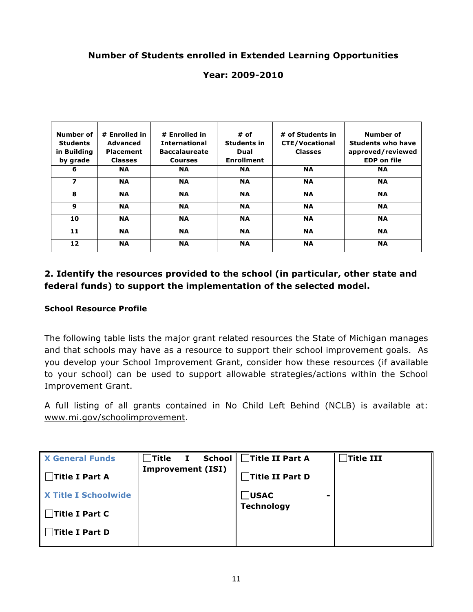### **Number of Students enrolled in Extended Learning Opportunities**

### **Year: 2009-2010**

| Number of<br><b>Students</b><br>in Building<br>by grade | # Enrolled in<br>Advanced<br><b>Placement</b><br><b>Classes</b> | # Enrolled in<br><b>International</b><br><b>Baccalaureate</b><br><b>Courses</b> | $#$ of<br>Students in<br>Dual<br><b>Enrollment</b> | # of Students in<br><b>CTE/Vocational</b><br><b>Classes</b> | <b>Number of</b><br><b>Students who have</b><br>approved/reviewed<br><b>EDP on file</b> |
|---------------------------------------------------------|-----------------------------------------------------------------|---------------------------------------------------------------------------------|----------------------------------------------------|-------------------------------------------------------------|-----------------------------------------------------------------------------------------|
| 6                                                       | <b>NA</b>                                                       | <b>NA</b>                                                                       | <b>NA</b>                                          | <b>NA</b>                                                   | <b>NA</b>                                                                               |
| $\overline{\phantom{a}}$                                | <b>NA</b>                                                       | <b>NA</b>                                                                       | <b>NA</b>                                          | <b>NA</b>                                                   | <b>NA</b>                                                                               |
| 8                                                       | <b>NA</b>                                                       | <b>NA</b>                                                                       | <b>NA</b>                                          | <b>NA</b>                                                   | <b>NA</b>                                                                               |
| 9                                                       | <b>NA</b>                                                       | <b>NA</b>                                                                       | <b>NA</b>                                          | <b>NA</b>                                                   | <b>NA</b>                                                                               |
| 10                                                      | <b>NA</b>                                                       | <b>NA</b>                                                                       | <b>NA</b>                                          | <b>NA</b>                                                   | <b>NA</b>                                                                               |
| 11                                                      | <b>NA</b>                                                       | <b>NA</b>                                                                       | <b>NA</b>                                          | <b>NA</b>                                                   | <b>NA</b>                                                                               |
| 12                                                      | <b>NA</b>                                                       | <b>NA</b>                                                                       | <b>NA</b>                                          | <b>NA</b>                                                   | <b>NA</b>                                                                               |

### **2. Identify the resources provided to the school (in particular, other state and federal funds) to support the implementation of the selected model.**

#### **School Resource Profile**

The following table lists the major grant related resources the State of Michigan manages and that schools may have as a resource to support their school improvement goals. As you develop your School Improvement Grant, consider how these resources (if available to your school) can be used to support allowable strategies/actions within the School Improvement Grant.

A full listing of all grants contained in No Child Left Behind (NCLB) is available at: www.mi.gov/schoolimprovement.

| <b>X General Funds</b>      | Title                    | <b>School</b> | Title II Part A   | Title III |
|-----------------------------|--------------------------|---------------|-------------------|-----------|
| $\Box$ Title I Part A       | <b>Improvement (ISI)</b> |               | Title II Part D   |           |
| <b>X Title I Schoolwide</b> |                          |               | $\Box$ USAC       |           |
| $\Box$ Title I Part C       |                          |               | <b>Technology</b> |           |
| Title I Part D              |                          |               |                   |           |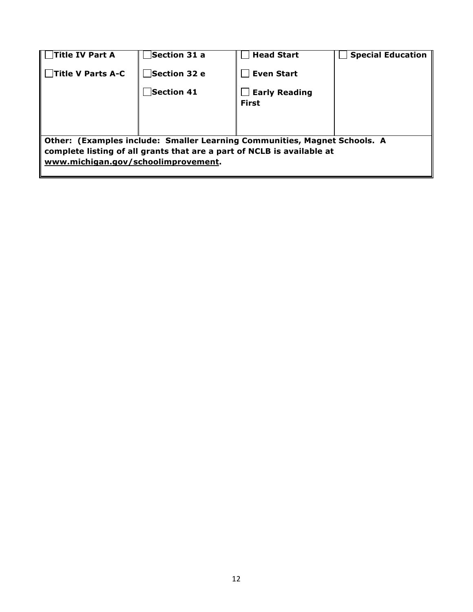| Title IV Part A                     | Section 31 a | <b>Head Start</b>                                                                                                                                   | <b>Special Education</b> |
|-------------------------------------|--------------|-----------------------------------------------------------------------------------------------------------------------------------------------------|--------------------------|
| <b>Title V Parts A-C</b>            | Section 32 e | <b>Even Start</b>                                                                                                                                   |                          |
|                                     | Section 41   | <b>Early Reading</b><br><b>First</b>                                                                                                                |                          |
| www.michigan.gov/schoolimprovement. |              | Other: (Examples include: Smaller Learning Communities, Magnet Schools. A<br>complete listing of all grants that are a part of NCLB is available at |                          |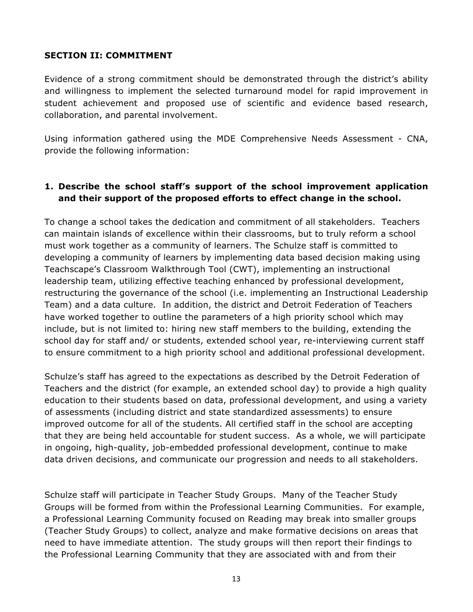#### **SECTION II: COMMITMENT**

Evidence of a strong commitment should be demonstrated through the district's ability and willingness to implement the selected turnaround model for rapid improvement in student achievement and proposed use of scientific and evidence based research, collaboration, and parental involvement.

Using information gathered using the MDE Comprehensive Needs Assessment - CNA, provide the following information:

### **1. Describe the school staff's support of the school improvement application and their support of the proposed efforts to effect change in the school.**

To change a school takes the dedication and commitment of all stakeholders. Teachers can maintain islands of excellence within their classrooms, but to truly reform a school must work together as a community of learners. The Schulze staff is committed to developing a community of learners by implementing data based decision making using Teachscape's Classroom Walkthrough Tool (CWT), implementing an instructional leadership team, utilizing effective teaching enhanced by professional development, restructuring the governance of the school (i.e. implementing an Instructional Leadership Team) and a data culture. In addition, the district and Detroit Federation of Teachers have worked together to outline the parameters of a high priority school which may include, but is not limited to: hiring new staff members to the building, extending the school day for staff and/ or students, extended school year, re-interviewing current staff to ensure commitment to a high priority school and additional professional development.

Schulze's staff has agreed to the expectations as described by the Detroit Federation of Teachers and the district (for example, an extended school day) to provide a high quality education to their students based on data, professional development, and using a variety of assessments (including district and state standardized assessments) to ensure improved outcome for all of the students. All certified staff in the school are accepting that they are being held accountable for student success. As a whole, we will participate in ongoing, high-quality, job-embedded professional development, continue to make data driven decisions, and communicate our progression and needs to all stakeholders.

Schulze staff will participate in Teacher Study Groups. Many of the Teacher Study Groups will be formed from within the Professional Learning Communities. For example, a Professional Learning Community focused on Reading may break into smaller groups (Teacher Study Groups) to collect, analyze and make formative decisions on areas that need to have immediate attention. The study groups will then report their findings to the Professional Learning Community that they are associated with and from their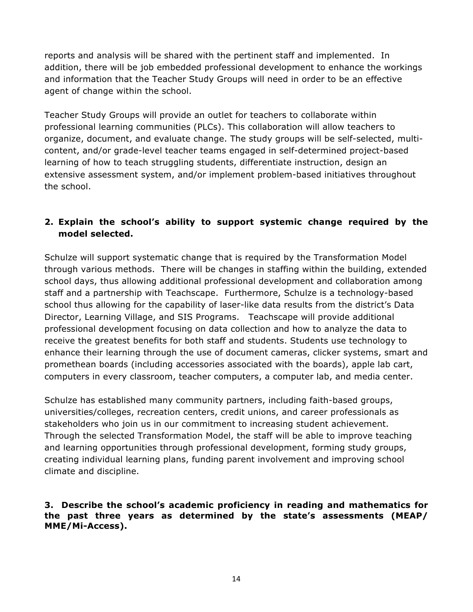reports and analysis will be shared with the pertinent staff and implemented. In addition, there will be job embedded professional development to enhance the workings and information that the Teacher Study Groups will need in order to be an effective agent of change within the school.

Teacher Study Groups will provide an outlet for teachers to collaborate within professional learning communities (PLCs). This collaboration will allow teachers to organize, document, and evaluate change. The study groups will be self-selected, multicontent, and/or grade-level teacher teams engaged in self-determined project-based learning of how to teach struggling students, differentiate instruction, design an extensive assessment system, and/or implement problem-based initiatives throughout the school.

## **2. Explain the school's ability to support systemic change required by the model selected.**

Schulze will support systematic change that is required by the Transformation Model through various methods. There will be changes in staffing within the building, extended school days, thus allowing additional professional development and collaboration among staff and a partnership with Teachscape. Furthermore, Schulze is a technology-based school thus allowing for the capability of laser-like data results from the district's Data Director, Learning Village, and SIS Programs. Teachscape will provide additional professional development focusing on data collection and how to analyze the data to receive the greatest benefits for both staff and students. Students use technology to enhance their learning through the use of document cameras, clicker systems, smart and promethean boards (including accessories associated with the boards), apple lab cart, computers in every classroom, teacher computers, a computer lab, and media center.

Schulze has established many community partners, including faith-based groups, universities/colleges, recreation centers, credit unions, and career professionals as stakeholders who join us in our commitment to increasing student achievement. Through the selected Transformation Model, the staff will be able to improve teaching and learning opportunities through professional development, forming study groups, creating individual learning plans, funding parent involvement and improving school climate and discipline.

**3. Describe the school's academic proficiency in reading and mathematics for the past three years as determined by the state's assessments (MEAP/ MME/Mi-Access).**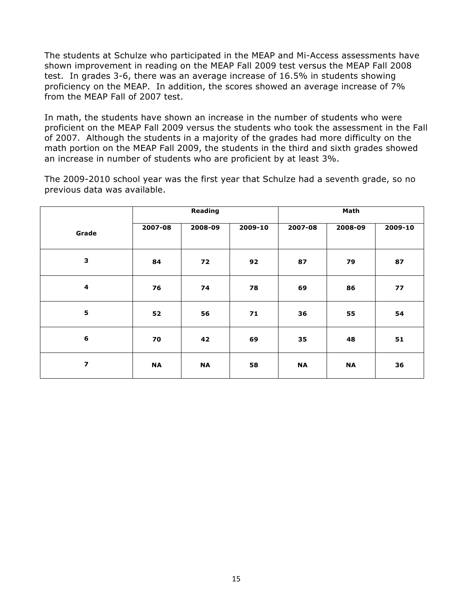The students at Schulze who participated in the MEAP and Mi-Access assessments have shown improvement in reading on the MEAP Fall 2009 test versus the MEAP Fall 2008 test. In grades 3-6, there was an average increase of 16.5% in students showing proficiency on the MEAP. In addition, the scores showed an average increase of 7% from the MEAP Fall of 2007 test.

In math, the students have shown an increase in the number of students who were proficient on the MEAP Fall 2009 versus the students who took the assessment in the Fall of 2007. Although the students in a majority of the grades had more difficulty on the math portion on the MEAP Fall 2009, the students in the third and sixth grades showed an increase in number of students who are proficient by at least 3%.

The 2009-2010 school year was the first year that Schulze had a seventh grade, so no previous data was available.

|                         |           | Reading   |             |           | Math      |             |
|-------------------------|-----------|-----------|-------------|-----------|-----------|-------------|
| Grade                   | 2007-08   | 2008-09   | $2009 - 10$ | 2007-08   | 2008-09   | $2009 - 10$ |
| $\mathbf{3}$            | 84        | 72        | 92          | 87        | 79        | 87          |
| 4                       | 76        | 74        | 78          | 69        | 86        | 77          |
| 5                       | 52        | 56        | 71          | 36        | 55        | 54          |
| $6\phantom{1}6$         | 70        | 42        | 69          | 35        | 48        | 51          |
| $\overline{\mathbf{z}}$ | <b>NA</b> | <b>NA</b> | 58          | <b>NA</b> | <b>NA</b> | 36          |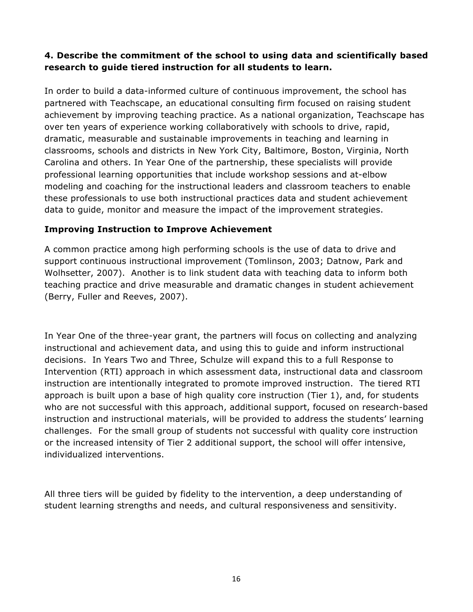### **4. Describe the commitment of the school to using data and scientifically based research to guide tiered instruction for all students to learn.**

In order to build a data-informed culture of continuous improvement, the school has partnered with Teachscape, an educational consulting firm focused on raising student achievement by improving teaching practice. As a national organization, Teachscape has over ten years of experience working collaboratively with schools to drive, rapid, dramatic, measurable and sustainable improvements in teaching and learning in classrooms, schools and districts in New York City, Baltimore, Boston, Virginia, North Carolina and others. In Year One of the partnership, these specialists will provide professional learning opportunities that include workshop sessions and at-elbow modeling and coaching for the instructional leaders and classroom teachers to enable these professionals to use both instructional practices data and student achievement data to guide, monitor and measure the impact of the improvement strategies.

### **Improving Instruction to Improve Achievement**

A common practice among high performing schools is the use of data to drive and support continuous instructional improvement (Tomlinson, 2003; Datnow, Park and Wolhsetter, 2007). Another is to link student data with teaching data to inform both teaching practice and drive measurable and dramatic changes in student achievement (Berry, Fuller and Reeves, 2007).

In Year One of the three-year grant, the partners will focus on collecting and analyzing instructional and achievement data, and using this to guide and inform instructional decisions. In Years Two and Three, Schulze will expand this to a full Response to Intervention (RTI) approach in which assessment data, instructional data and classroom instruction are intentionally integrated to promote improved instruction. The tiered RTI approach is built upon a base of high quality core instruction (Tier 1), and, for students who are not successful with this approach, additional support, focused on research-based instruction and instructional materials, will be provided to address the students' learning challenges. For the small group of students not successful with quality core instruction or the increased intensity of Tier 2 additional support, the school will offer intensive, individualized interventions.

All three tiers will be guided by fidelity to the intervention, a deep understanding of student learning strengths and needs, and cultural responsiveness and sensitivity.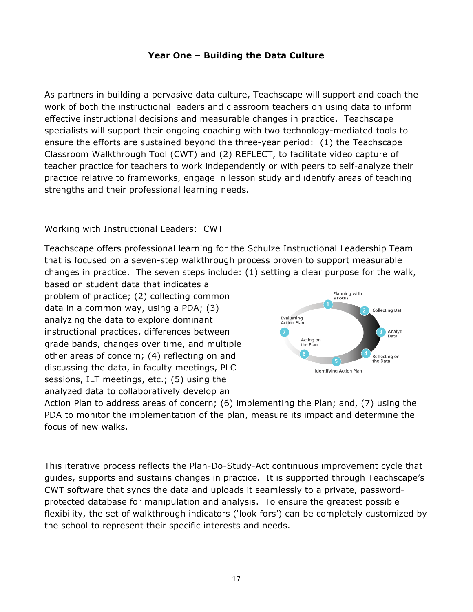### **Year One – Building the Data Culture**

As partners in building a pervasive data culture, Teachscape will support and coach the work of both the instructional leaders and classroom teachers on using data to inform effective instructional decisions and measurable changes in practice. Teachscape specialists will support their ongoing coaching with two technology-mediated tools to ensure the efforts are sustained beyond the three-year period: (1) the Teachscape Classroom Walkthrough Tool (CWT) and (2) REFLECT, to facilitate video capture of teacher practice for teachers to work independently or with peers to self-analyze their practice relative to frameworks, engage in lesson study and identify areas of teaching strengths and their professional learning needs.

#### Working with Instructional Leaders: CWT

Teachscape offers professional learning for the Schulze Instructional Leadership Team that is focused on a seven-step walkthrough process proven to support measurable changes in practice. The seven steps include: (1) setting a clear purpose for the walk,

based on student data that indicates a problem of practice; (2) collecting common data in a common way, using a PDA; (3) analyzing the data to explore dominant instructional practices, differences between grade bands, changes over time, and multiple other areas of concern; (4) reflecting on and discussing the data, in faculty meetings, PLC sessions, ILT meetings, etc.; (5) using the analyzed data to collaboratively develop an



Action Plan to address areas of concern; (6) implementing the Plan; and, (7) using the PDA to monitor the implementation of the plan, measure its impact and determine the focus of new walks.

This iterative process reflects the Plan-Do-Study-Act continuous improvement cycle that guides, supports and sustains changes in practice. It is supported through Teachscape's CWT software that syncs the data and uploads it seamlessly to a private, passwordprotected database for manipulation and analysis. To ensure the greatest possible flexibility, the set of walkthrough indicators ('look fors') can be completely customized by the school to represent their specific interests and needs.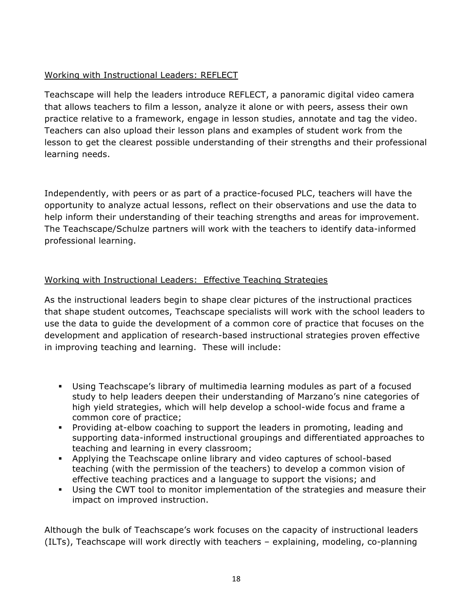### Working with Instructional Leaders: REFLECT

Teachscape will help the leaders introduce REFLECT, a panoramic digital video camera that allows teachers to film a lesson, analyze it alone or with peers, assess their own practice relative to a framework, engage in lesson studies, annotate and tag the video. Teachers can also upload their lesson plans and examples of student work from the lesson to get the clearest possible understanding of their strengths and their professional learning needs.

Independently, with peers or as part of a practice-focused PLC, teachers will have the opportunity to analyze actual lessons, reflect on their observations and use the data to help inform their understanding of their teaching strengths and areas for improvement. The Teachscape/Schulze partners will work with the teachers to identify data-informed professional learning.

### Working with Instructional Leaders: Effective Teaching Strategies

As the instructional leaders begin to shape clear pictures of the instructional practices that shape student outcomes, Teachscape specialists will work with the school leaders to use the data to guide the development of a common core of practice that focuses on the development and application of research-based instructional strategies proven effective in improving teaching and learning. These will include:

- ! Using Teachscape's library of multimedia learning modules as part of a focused study to help leaders deepen their understanding of Marzano's nine categories of high yield strategies, which will help develop a school-wide focus and frame a common core of practice;
- ! Providing at-elbow coaching to support the leaders in promoting, leading and supporting data-informed instructional groupings and differentiated approaches to teaching and learning in every classroom;
- ! Applying the Teachscape online library and video captures of school-based teaching (with the permission of the teachers) to develop a common vision of effective teaching practices and a language to support the visions; and
- ! Using the CWT tool to monitor implementation of the strategies and measure their impact on improved instruction.

Although the bulk of Teachscape's work focuses on the capacity of instructional leaders (ILTs), Teachscape will work directly with teachers – explaining, modeling, co-planning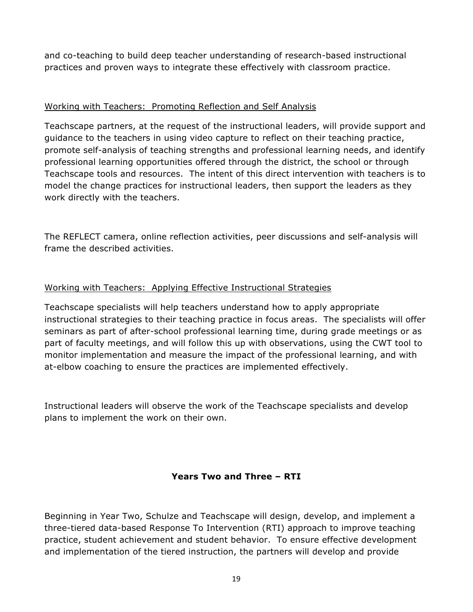and co-teaching to build deep teacher understanding of research-based instructional practices and proven ways to integrate these effectively with classroom practice.

### Working with Teachers: Promoting Reflection and Self Analysis

Teachscape partners, at the request of the instructional leaders, will provide support and guidance to the teachers in using video capture to reflect on their teaching practice, promote self-analysis of teaching strengths and professional learning needs, and identify professional learning opportunities offered through the district, the school or through Teachscape tools and resources. The intent of this direct intervention with teachers is to model the change practices for instructional leaders, then support the leaders as they work directly with the teachers.

The REFLECT camera, online reflection activities, peer discussions and self-analysis will frame the described activities.

### Working with Teachers: Applying Effective Instructional Strategies

Teachscape specialists will help teachers understand how to apply appropriate instructional strategies to their teaching practice in focus areas. The specialists will offer seminars as part of after-school professional learning time, during grade meetings or as part of faculty meetings, and will follow this up with observations, using the CWT tool to monitor implementation and measure the impact of the professional learning, and with at-elbow coaching to ensure the practices are implemented effectively.

Instructional leaders will observe the work of the Teachscape specialists and develop plans to implement the work on their own.

### **Years Two and Three – RTI**

Beginning in Year Two, Schulze and Teachscape will design, develop, and implement a three-tiered data-based Response To Intervention (RTI) approach to improve teaching practice, student achievement and student behavior. To ensure effective development and implementation of the tiered instruction, the partners will develop and provide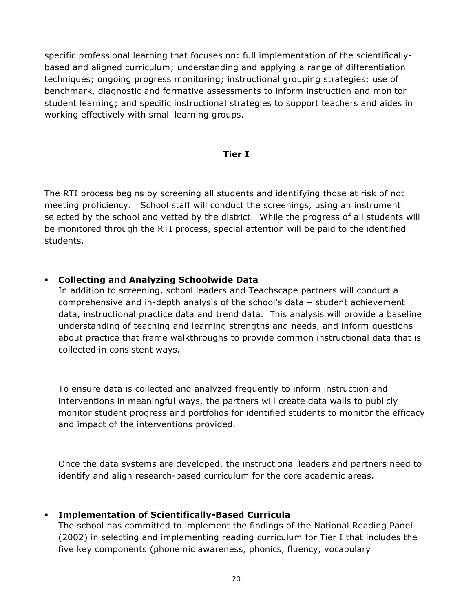specific professional learning that focuses on: full implementation of the scientificallybased and aligned curriculum; understanding and applying a range of differentiation techniques; ongoing progress monitoring; instructional grouping strategies; use of benchmark, diagnostic and formative assessments to inform instruction and monitor student learning; and specific instructional strategies to support teachers and aides in working effectively with small learning groups.

#### **Tier I**

The RTI process begins by screening all students and identifying those at risk of not meeting proficiency. School staff will conduct the screenings, using an instrument selected by the school and vetted by the district. While the progress of all students will be monitored through the RTI process, special attention will be paid to the identified students.

#### ! **Collecting and Analyzing Schoolwide Data**

In addition to screening, school leaders and Teachscape partners will conduct a comprehensive and in-depth analysis of the school's data – student achievement data, instructional practice data and trend data. This analysis will provide a baseline understanding of teaching and learning strengths and needs, and inform questions about practice that frame walkthroughs to provide common instructional data that is collected in consistent ways.

To ensure data is collected and analyzed frequently to inform instruction and interventions in meaningful ways, the partners will create data walls to publicly monitor student progress and portfolios for identified students to monitor the efficacy and impact of the interventions provided.

Once the data systems are developed, the instructional leaders and partners need to identify and align research-based curriculum for the core academic areas.

#### ! **Implementation of Scientifically-Based Curricula**

The school has committed to implement the findings of the National Reading Panel (2002) in selecting and implementing reading curriculum for Tier I that includes the five key components (phonemic awareness, phonics, fluency, vocabulary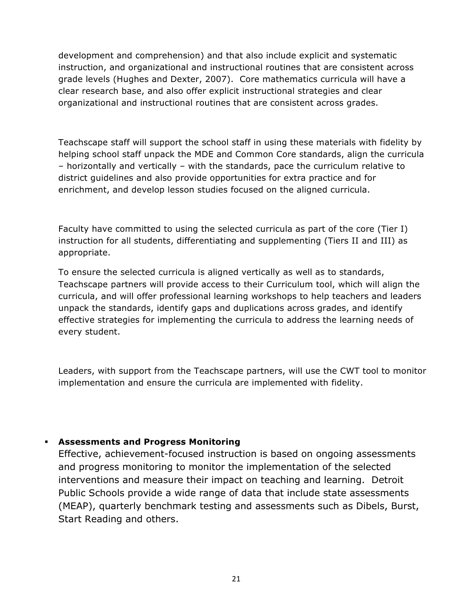development and comprehension) and that also include explicit and systematic instruction, and organizational and instructional routines that are consistent across grade levels (Hughes and Dexter, 2007). Core mathematics curricula will have a clear research base, and also offer explicit instructional strategies and clear organizational and instructional routines that are consistent across grades.

Teachscape staff will support the school staff in using these materials with fidelity by helping school staff unpack the MDE and Common Core standards, align the curricula – horizontally and vertically – with the standards, pace the curriculum relative to district guidelines and also provide opportunities for extra practice and for enrichment, and develop lesson studies focused on the aligned curricula.

Faculty have committed to using the selected curricula as part of the core (Tier I) instruction for all students, differentiating and supplementing (Tiers II and III) as appropriate.

To ensure the selected curricula is aligned vertically as well as to standards, Teachscape partners will provide access to their Curriculum tool, which will align the curricula, and will offer professional learning workshops to help teachers and leaders unpack the standards, identify gaps and duplications across grades, and identify effective strategies for implementing the curricula to address the learning needs of every student.

Leaders, with support from the Teachscape partners, will use the CWT tool to monitor implementation and ensure the curricula are implemented with fidelity.

### ! **Assessments and Progress Monitoring**

Effective, achievement-focused instruction is based on ongoing assessments and progress monitoring to monitor the implementation of the selected interventions and measure their impact on teaching and learning. Detroit Public Schools provide a wide range of data that include state assessments (MEAP), quarterly benchmark testing and assessments such as Dibels, Burst, Start Reading and others.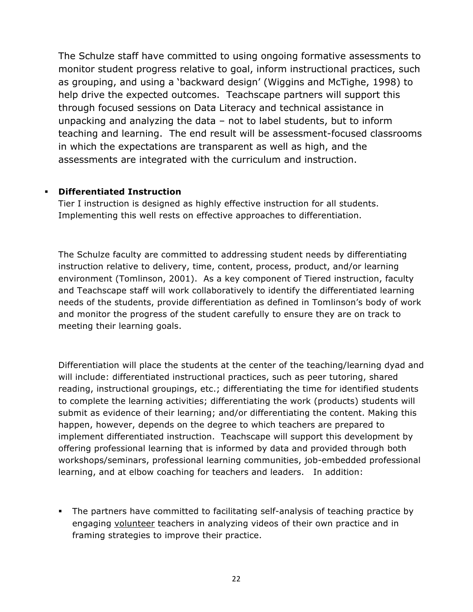The Schulze staff have committed to using ongoing formative assessments to monitor student progress relative to goal, inform instructional practices, such as grouping, and using a 'backward design' (Wiggins and McTighe, 1998) to help drive the expected outcomes. Teachscape partners will support this through focused sessions on Data Literacy and technical assistance in unpacking and analyzing the data – not to label students, but to inform teaching and learning. The end result will be assessment-focused classrooms in which the expectations are transparent as well as high, and the assessments are integrated with the curriculum and instruction.

#### ! **Differentiated Instruction**

Tier I instruction is designed as highly effective instruction for all students. Implementing this well rests on effective approaches to differentiation.

The Schulze faculty are committed to addressing student needs by differentiating instruction relative to delivery, time, content, process, product, and/or learning environment (Tomlinson, 2001). As a key component of Tiered instruction, faculty and Teachscape staff will work collaboratively to identify the differentiated learning needs of the students, provide differentiation as defined in Tomlinson's body of work and monitor the progress of the student carefully to ensure they are on track to meeting their learning goals.

Differentiation will place the students at the center of the teaching/learning dyad and will include: differentiated instructional practices, such as peer tutoring, shared reading, instructional groupings, etc.; differentiating the time for identified students to complete the learning activities; differentiating the work (products) students will submit as evidence of their learning; and/or differentiating the content. Making this happen, however, depends on the degree to which teachers are prepared to implement differentiated instruction. Teachscape will support this development by offering professional learning that is informed by data and provided through both workshops/seminars, professional learning communities, job-embedded professional learning, and at elbow coaching for teachers and leaders. In addition:

! The partners have committed to facilitating self-analysis of teaching practice by engaging volunteer teachers in analyzing videos of their own practice and in framing strategies to improve their practice.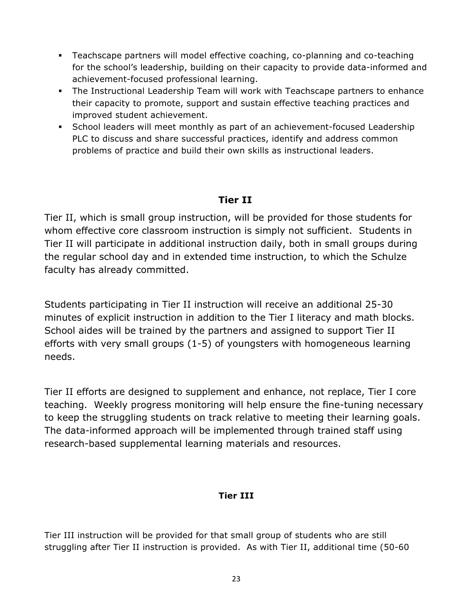- ! Teachscape partners will model effective coaching, co-planning and co-teaching for the school's leadership, building on their capacity to provide data-informed and achievement-focused professional learning.
- ! The Instructional Leadership Team will work with Teachscape partners to enhance their capacity to promote, support and sustain effective teaching practices and improved student achievement.
- ! School leaders will meet monthly as part of an achievement-focused Leadership PLC to discuss and share successful practices, identify and address common problems of practice and build their own skills as instructional leaders.

## **Tier II**

Tier II, which is small group instruction, will be provided for those students for whom effective core classroom instruction is simply not sufficient. Students in Tier II will participate in additional instruction daily, both in small groups during the regular school day and in extended time instruction, to which the Schulze faculty has already committed.

Students participating in Tier II instruction will receive an additional 25-30 minutes of explicit instruction in addition to the Tier I literacy and math blocks. School aides will be trained by the partners and assigned to support Tier II efforts with very small groups (1-5) of youngsters with homogeneous learning needs.

Tier II efforts are designed to supplement and enhance, not replace, Tier I core teaching. Weekly progress monitoring will help ensure the fine-tuning necessary to keep the struggling students on track relative to meeting their learning goals. The data-informed approach will be implemented through trained staff using research-based supplemental learning materials and resources.

## **Tier III**

Tier III instruction will be provided for that small group of students who are still struggling after Tier II instruction is provided. As with Tier II, additional time (50-60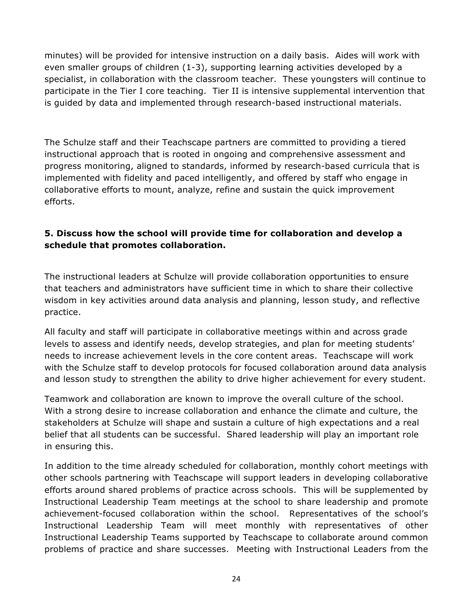minutes) will be provided for intensive instruction on a daily basis. Aides will work with even smaller groups of children (1-3), supporting learning activities developed by a specialist, in collaboration with the classroom teacher. These youngsters will continue to participate in the Tier I core teaching. Tier II is intensive supplemental intervention that is guided by data and implemented through research-based instructional materials.

The Schulze staff and their Teachscape partners are committed to providing a tiered instructional approach that is rooted in ongoing and comprehensive assessment and progress monitoring, aligned to standards, informed by research-based curricula that is implemented with fidelity and paced intelligently, and offered by staff who engage in collaborative efforts to mount, analyze, refine and sustain the quick improvement efforts.

### **5. Discuss how the school will provide time for collaboration and develop a schedule that promotes collaboration.**

The instructional leaders at Schulze will provide collaboration opportunities to ensure that teachers and administrators have sufficient time in which to share their collective wisdom in key activities around data analysis and planning, lesson study, and reflective practice.

All faculty and staff will participate in collaborative meetings within and across grade levels to assess and identify needs, develop strategies, and plan for meeting students' needs to increase achievement levels in the core content areas. Teachscape will work with the Schulze staff to develop protocols for focused collaboration around data analysis and lesson study to strengthen the ability to drive higher achievement for every student.

Teamwork and collaboration are known to improve the overall culture of the school. With a strong desire to increase collaboration and enhance the climate and culture, the stakeholders at Schulze will shape and sustain a culture of high expectations and a real belief that all students can be successful. Shared leadership will play an important role in ensuring this.

In addition to the time already scheduled for collaboration, monthly cohort meetings with other schools partnering with Teachscape will support leaders in developing collaborative efforts around shared problems of practice across schools. This will be supplemented by Instructional Leadership Team meetings at the school to share leadership and promote achievement-focused collaboration within the school. Representatives of the school's Instructional Leadership Team will meet monthly with representatives of other Instructional Leadership Teams supported by Teachscape to collaborate around common problems of practice and share successes. Meeting with Instructional Leaders from the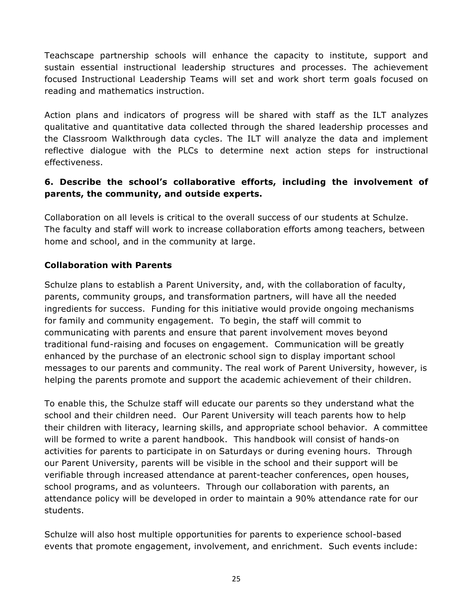Teachscape partnership schools will enhance the capacity to institute, support and sustain essential instructional leadership structures and processes. The achievement focused Instructional Leadership Teams will set and work short term goals focused on reading and mathematics instruction.

Action plans and indicators of progress will be shared with staff as the ILT analyzes qualitative and quantitative data collected through the shared leadership processes and the Classroom Walkthrough data cycles. The ILT will analyze the data and implement reflective dialogue with the PLCs to determine next action steps for instructional effectiveness.

### **6. Describe the school's collaborative efforts, including the involvement of parents, the community, and outside experts.**

Collaboration on all levels is critical to the overall success of our students at Schulze. The faculty and staff will work to increase collaboration efforts among teachers, between home and school, and in the community at large.

### **Collaboration with Parents**

Schulze plans to establish a Parent University, and, with the collaboration of faculty, parents, community groups, and transformation partners, will have all the needed ingredients for success. Funding for this initiative would provide ongoing mechanisms for family and community engagement. To begin, the staff will commit to communicating with parents and ensure that parent involvement moves beyond traditional fund-raising and focuses on engagement. Communication will be greatly enhanced by the purchase of an electronic school sign to display important school messages to our parents and community. The real work of Parent University, however, is helping the parents promote and support the academic achievement of their children.

To enable this, the Schulze staff will educate our parents so they understand what the school and their children need. Our Parent University will teach parents how to help their children with literacy, learning skills, and appropriate school behavior. A committee will be formed to write a parent handbook. This handbook will consist of hands-on activities for parents to participate in on Saturdays or during evening hours. Through our Parent University, parents will be visible in the school and their support will be verifiable through increased attendance at parent-teacher conferences, open houses, school programs, and as volunteers. Through our collaboration with parents, an attendance policy will be developed in order to maintain a 90% attendance rate for our students.

Schulze will also host multiple opportunities for parents to experience school-based events that promote engagement, involvement, and enrichment. Such events include: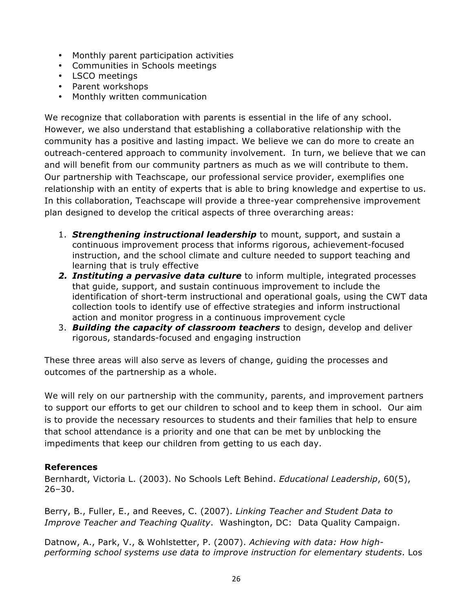- Monthly parent participation activities
- Communities in Schools meetings
- LSCO meetings
- Parent workshops
- Monthly written communication

We recognize that collaboration with parents is essential in the life of any school. However, we also understand that establishing a collaborative relationship with the community has a positive and lasting impact. We believe we can do more to create an outreach-centered approach to community involvement. In turn, we believe that we can and will benefit from our community partners as much as we will contribute to them. Our partnership with Teachscape, our professional service provider, exemplifies one relationship with an entity of experts that is able to bring knowledge and expertise to us. In this collaboration, Teachscape will provide a three-year comprehensive improvement plan designed to develop the critical aspects of three overarching areas:

- 1. *Strengthening instructional leadership* to mount, support, and sustain a continuous improvement process that informs rigorous, achievement-focused instruction, and the school climate and culture needed to support teaching and learning that is truly effective
- *2. Instituting a pervasive data culture* to inform multiple, integrated processes that guide, support, and sustain continuous improvement to include the identification of short-term instructional and operational goals, using the CWT data collection tools to identify use of effective strategies and inform instructional action and monitor progress in a continuous improvement cycle
- 3. *Building the capacity of classroom teachers* to design, develop and deliver rigorous, standards-focused and engaging instruction

These three areas will also serve as levers of change, guiding the processes and outcomes of the partnership as a whole.

We will rely on our partnership with the community, parents, and improvement partners to support our efforts to get our children to school and to keep them in school. Our aim is to provide the necessary resources to students and their families that help to ensure that school attendance is a priority and one that can be met by unblocking the impediments that keep our children from getting to us each day.

#### **References**

Bernhardt, Victoria L. (2003). No Schools Left Behind. *Educational Leadership*, 60(5), 26–30.

Berry, B., Fuller, E., and Reeves, C. (2007). *Linking Teacher and Student Data to Improve Teacher and Teaching Quality*. Washington, DC: Data Quality Campaign.

Datnow, A., Park, V., & Wohlstetter, P. (2007). *Achieving with data: How highperforming school systems use data to improve instruction for elementary students*. Los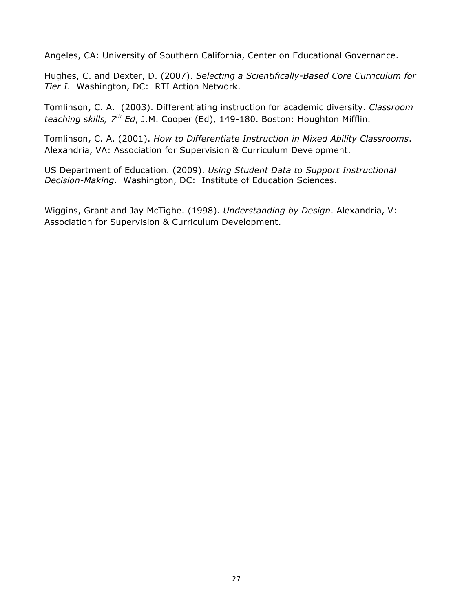Angeles, CA: University of Southern California, Center on Educational Governance.

Hughes, C. and Dexter, D. (2007). *Selecting a Scientifically-Based Core Curriculum for Tier I*. Washington, DC: RTI Action Network.

Tomlinson, C. A. (2003). Differentiating instruction for academic diversity. *Classroom teaching skills, 7th Ed*, J.M. Cooper (Ed), 149-180. Boston: Houghton Mifflin.

Tomlinson, C. A. (2001). *How to Differentiate Instruction in Mixed Ability Classrooms*. Alexandria, VA: Association for Supervision & Curriculum Development.

US Department of Education. (2009). *Using Student Data to Support Instructional Decision-Making*. Washington, DC: Institute of Education Sciences.

Wiggins, Grant and Jay McTighe. (1998). *Understanding by Design*. Alexandria, V: Association for Supervision & Curriculum Development.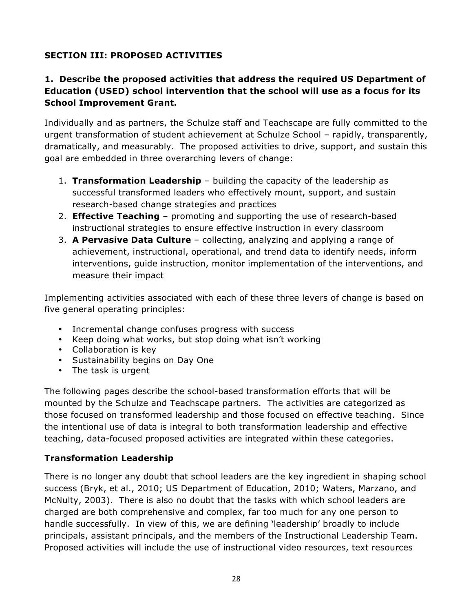## **SECTION III: PROPOSED ACTIVITIES**

### **1. Describe the proposed activities that address the required US Department of Education (USED) school intervention that the school will use as a focus for its School Improvement Grant.**

Individually and as partners, the Schulze staff and Teachscape are fully committed to the urgent transformation of student achievement at Schulze School – rapidly, transparently, dramatically, and measurably. The proposed activities to drive, support, and sustain this goal are embedded in three overarching levers of change:

- 1. **Transformation Leadership** building the capacity of the leadership as successful transformed leaders who effectively mount, support, and sustain research-based change strategies and practices
- 2. **Effective Teaching** promoting and supporting the use of research-based instructional strategies to ensure effective instruction in every classroom
- 3. **A Pervasive Data Culture** collecting, analyzing and applying a range of achievement, instructional, operational, and trend data to identify needs, inform interventions, guide instruction, monitor implementation of the interventions, and measure their impact

Implementing activities associated with each of these three levers of change is based on five general operating principles:

- Incremental change confuses progress with success
- Keep doing what works, but stop doing what isn't working
- Collaboration is key
- Sustainability begins on Day One
- The task is urgent

The following pages describe the school-based transformation efforts that will be mounted by the Schulze and Teachscape partners. The activities are categorized as those focused on transformed leadership and those focused on effective teaching. Since the intentional use of data is integral to both transformation leadership and effective teaching, data-focused proposed activities are integrated within these categories.

### **Transformation Leadership**

There is no longer any doubt that school leaders are the key ingredient in shaping school success (Bryk, et al., 2010; US Department of Education, 2010; Waters, Marzano, and McNulty, 2003). There is also no doubt that the tasks with which school leaders are charged are both comprehensive and complex, far too much for any one person to handle successfully. In view of this, we are defining 'leadership' broadly to include principals, assistant principals, and the members of the Instructional Leadership Team. Proposed activities will include the use of instructional video resources, text resources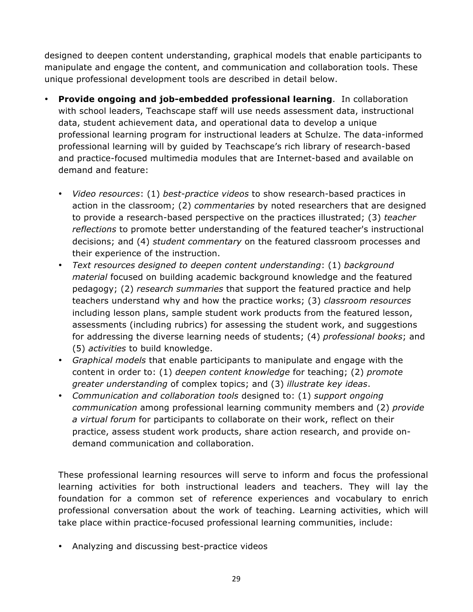designed to deepen content understanding, graphical models that enable participants to manipulate and engage the content, and communication and collaboration tools. These unique professional development tools are described in detail below.

- **Provide ongoing and job-embedded professional learning**. In collaboration with school leaders, Teachscape staff will use needs assessment data, instructional data, student achievement data, and operational data to develop a unique professional learning program for instructional leaders at Schulze. The data-informed professional learning will by guided by Teachscape's rich library of research-based and practice-focused multimedia modules that are Internet-based and available on demand and feature:
	- *Video resources*: (1) *best-practice videos* to show research-based practices in action in the classroom; (2) *commentaries* by noted researchers that are designed to provide a research-based perspective on the practices illustrated; (3) *teacher reflections* to promote better understanding of the featured teacher's instructional decisions; and (4) *student commentary* on the featured classroom processes and their experience of the instruction.
	- *Text resources designed to deepen content understanding*: (1) *background material* focused on building academic background knowledge and the featured pedagogy; (2) *research summaries* that support the featured practice and help teachers understand why and how the practice works; (3) *classroom resources* including lesson plans, sample student work products from the featured lesson, assessments (including rubrics) for assessing the student work, and suggestions for addressing the diverse learning needs of students; (4) *professional books*; and (5) *activities* to build knowledge.
	- *Graphical models* that enable participants to manipulate and engage with the content in order to: (1) *deepen content knowledge* for teaching; (2) *promote greater understanding* of complex topics; and (3) *illustrate key ideas*.
	- *Communication and collaboration tools* designed to: (1) *support ongoing communication* among professional learning community members and (2) *provide a virtual forum* for participants to collaborate on their work, reflect on their practice, assess student work products, share action research, and provide ondemand communication and collaboration.

These professional learning resources will serve to inform and focus the professional learning activities for both instructional leaders and teachers. They will lay the foundation for a common set of reference experiences and vocabulary to enrich professional conversation about the work of teaching. Learning activities, which will take place within practice-focused professional learning communities, include:

• Analyzing and discussing best-practice videos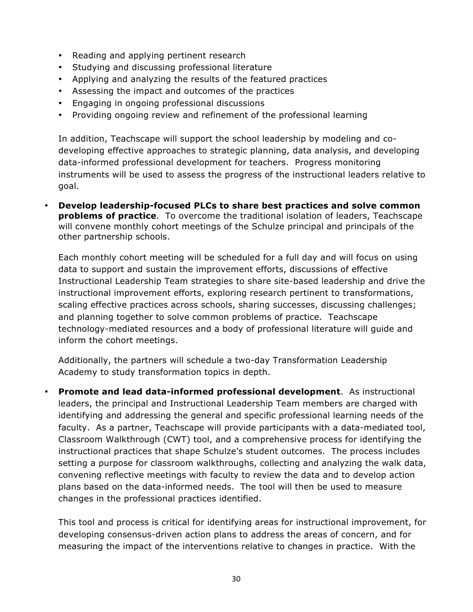- Reading and applying pertinent research
- Studying and discussing professional literature
- Applying and analyzing the results of the featured practices
- Assessing the impact and outcomes of the practices
- Engaging in ongoing professional discussions
- Providing ongoing review and refinement of the professional learning

In addition, Teachscape will support the school leadership by modeling and codeveloping effective approaches to strategic planning, data analysis, and developing data-informed professional development for teachers. Progress monitoring instruments will be used to assess the progress of the instructional leaders relative to goal.

• **Develop leadership-focused PLCs to share best practices and solve common problems of practice**.To overcome the traditional isolation of leaders, Teachscape will convene monthly cohort meetings of the Schulze principal and principals of the other partnership schools.

Each monthly cohort meeting will be scheduled for a full day and will focus on using data to support and sustain the improvement efforts, discussions of effective Instructional Leadership Team strategies to share site-based leadership and drive the instructional improvement efforts, exploring research pertinent to transformations, scaling effective practices across schools, sharing successes, discussing challenges; and planning together to solve common problems of practice. Teachscape technology-mediated resources and a body of professional literature will guide and inform the cohort meetings.

Additionally, the partners will schedule a two-day Transformation Leadership Academy to study transformation topics in depth.

• **Promote and lead data-informed professional development**.As instructional leaders, the principal and Instructional Leadership Team members are charged with identifying and addressing the general and specific professional learning needs of the faculty. As a partner, Teachscape will provide participants with a data-mediated tool, Classroom Walkthrough (CWT) tool, and a comprehensive process for identifying the instructional practices that shape Schulze's student outcomes. The process includes setting a purpose for classroom walkthroughs, collecting and analyzing the walk data, convening reflective meetings with faculty to review the data and to develop action plans based on the data-informed needs. The tool will then be used to measure changes in the professional practices identified.

This tool and process is critical for identifying areas for instructional improvement, for developing consensus-driven action plans to address the areas of concern, and for measuring the impact of the interventions relative to changes in practice. With the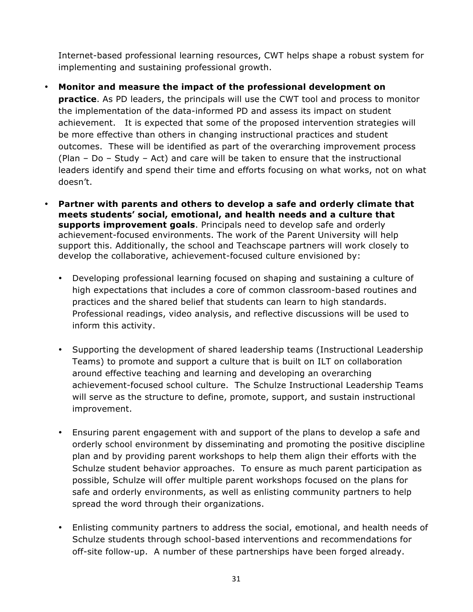Internet-based professional learning resources, CWT helps shape a robust system for implementing and sustaining professional growth.

- **Monitor and measure the impact of the professional development on practice**. As PD leaders, the principals will use the CWT tool and process to monitor the implementation of the data-informed PD and assess its impact on student achievement. It is expected that some of the proposed intervention strategies will be more effective than others in changing instructional practices and student outcomes. These will be identified as part of the overarching improvement process (Plan – Do – Study – Act) and care will be taken to ensure that the instructional leaders identify and spend their time and efforts focusing on what works, not on what doesn't.
- **Partner with parents and others to develop a safe and orderly climate that meets students' social, emotional, and health needs and a culture that supports improvement goals**. Principals need to develop safe and orderly achievement-focused environments. The work of the Parent University will help support this. Additionally, the school and Teachscape partners will work closely to develop the collaborative, achievement-focused culture envisioned by:
	- Developing professional learning focused on shaping and sustaining a culture of high expectations that includes a core of common classroom-based routines and practices and the shared belief that students can learn to high standards. Professional readings, video analysis, and reflective discussions will be used to inform this activity.
	- Supporting the development of shared leadership teams (Instructional Leadership Teams) to promote and support a culture that is built on ILT on collaboration around effective teaching and learning and developing an overarching achievement-focused school culture. The Schulze Instructional Leadership Teams will serve as the structure to define, promote, support, and sustain instructional improvement.
	- Ensuring parent engagement with and support of the plans to develop a safe and orderly school environment by disseminating and promoting the positive discipline plan and by providing parent workshops to help them align their efforts with the Schulze student behavior approaches. To ensure as much parent participation as possible, Schulze will offer multiple parent workshops focused on the plans for safe and orderly environments, as well as enlisting community partners to help spread the word through their organizations.
	- Enlisting community partners to address the social, emotional, and health needs of Schulze students through school-based interventions and recommendations for off-site follow-up. A number of these partnerships have been forged already.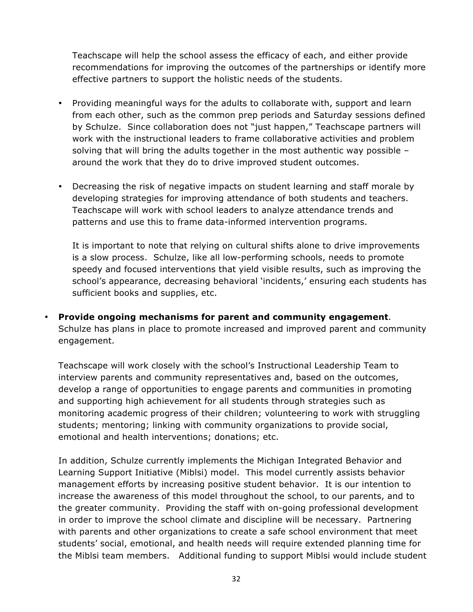Teachscape will help the school assess the efficacy of each, and either provide recommendations for improving the outcomes of the partnerships or identify more effective partners to support the holistic needs of the students.

- Providing meaningful ways for the adults to collaborate with, support and learn from each other, such as the common prep periods and Saturday sessions defined by Schulze. Since collaboration does not "just happen," Teachscape partners will work with the instructional leaders to frame collaborative activities and problem solving that will bring the adults together in the most authentic way possible – around the work that they do to drive improved student outcomes.
- Decreasing the risk of negative impacts on student learning and staff morale by developing strategies for improving attendance of both students and teachers. Teachscape will work with school leaders to analyze attendance trends and patterns and use this to frame data-informed intervention programs.

It is important to note that relying on cultural shifts alone to drive improvements is a slow process. Schulze, like all low-performing schools, needs to promote speedy and focused interventions that yield visible results, such as improving the school's appearance, decreasing behavioral 'incidents,' ensuring each students has sufficient books and supplies, etc.

• **Provide ongoing mechanisms for parent and community engagement**. Schulze has plans in place to promote increased and improved parent and community engagement.

Teachscape will work closely with the school's Instructional Leadership Team to interview parents and community representatives and, based on the outcomes, develop a range of opportunities to engage parents and communities in promoting and supporting high achievement for all students through strategies such as monitoring academic progress of their children; volunteering to work with struggling students; mentoring; linking with community organizations to provide social, emotional and health interventions; donations; etc.

In addition, Schulze currently implements the Michigan Integrated Behavior and Learning Support Initiative (Miblsi) model. This model currently assists behavior management efforts by increasing positive student behavior. It is our intention to increase the awareness of this model throughout the school, to our parents, and to the greater community. Providing the staff with on-going professional development in order to improve the school climate and discipline will be necessary. Partnering with parents and other organizations to create a safe school environment that meet students' social, emotional, and health needs will require extended planning time for the Miblsi team members. Additional funding to support Miblsi would include student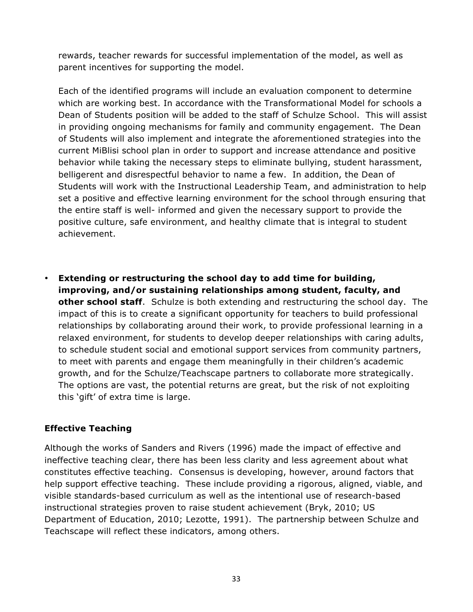rewards, teacher rewards for successful implementation of the model, as well as parent incentives for supporting the model.

Each of the identified programs will include an evaluation component to determine which are working best. In accordance with the Transformational Model for schools a Dean of Students position will be added to the staff of Schulze School. This will assist in providing ongoing mechanisms for family and community engagement. The Dean of Students will also implement and integrate the aforementioned strategies into the current MiBlisi school plan in order to support and increase attendance and positive behavior while taking the necessary steps to eliminate bullying, student harassment, belligerent and disrespectful behavior to name a few. In addition, the Dean of Students will work with the Instructional Leadership Team, and administration to help set a positive and effective learning environment for the school through ensuring that the entire staff is well- informed and given the necessary support to provide the positive culture, safe environment, and healthy climate that is integral to student achievement.

• **Extending or restructuring the school day to add time for building, improving, and/or sustaining relationships among student, faculty, and other school staff**. Schulze is both extending and restructuring the school day. The impact of this is to create a significant opportunity for teachers to build professional relationships by collaborating around their work, to provide professional learning in a relaxed environment, for students to develop deeper relationships with caring adults, to schedule student social and emotional support services from community partners, to meet with parents and engage them meaningfully in their children's academic growth, and for the Schulze/Teachscape partners to collaborate more strategically. The options are vast, the potential returns are great, but the risk of not exploiting this 'gift' of extra time is large.

### **Effective Teaching**

Although the works of Sanders and Rivers (1996) made the impact of effective and ineffective teaching clear, there has been less clarity and less agreement about what constitutes effective teaching. Consensus is developing, however, around factors that help support effective teaching. These include providing a rigorous, aligned, viable, and visible standards-based curriculum as well as the intentional use of research-based instructional strategies proven to raise student achievement (Bryk, 2010; US Department of Education, 2010; Lezotte, 1991). The partnership between Schulze and Teachscape will reflect these indicators, among others.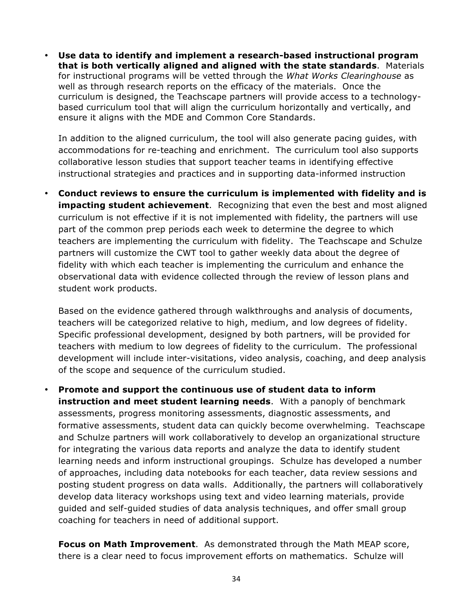• **Use data to identify and implement a research-based instructional program that is both vertically aligned and aligned with the state standards**. Materials for instructional programs will be vetted through the *What Works Clearinghouse* as well as through research reports on the efficacy of the materials. Once the curriculum is designed, the Teachscape partners will provide access to a technologybased curriculum tool that will align the curriculum horizontally and vertically, and ensure it aligns with the MDE and Common Core Standards.

In addition to the aligned curriculum, the tool will also generate pacing guides, with accommodations for re-teaching and enrichment. The curriculum tool also supports collaborative lesson studies that support teacher teams in identifying effective instructional strategies and practices and in supporting data-informed instruction

• **Conduct reviews to ensure the curriculum is implemented with fidelity and is impacting student achievement**. Recognizing that even the best and most aligned curriculum is not effective if it is not implemented with fidelity, the partners will use part of the common prep periods each week to determine the degree to which teachers are implementing the curriculum with fidelity. The Teachscape and Schulze partners will customize the CWT tool to gather weekly data about the degree of fidelity with which each teacher is implementing the curriculum and enhance the observational data with evidence collected through the review of lesson plans and student work products.

Based on the evidence gathered through walkthroughs and analysis of documents, teachers will be categorized relative to high, medium, and low degrees of fidelity. Specific professional development, designed by both partners, will be provided for teachers with medium to low degrees of fidelity to the curriculum. The professional development will include inter-visitations, video analysis, coaching, and deep analysis of the scope and sequence of the curriculum studied.

• **Promote and support the continuous use of student data to inform instruction and meet student learning needs**. With a panoply of benchmark assessments, progress monitoring assessments, diagnostic assessments, and formative assessments, student data can quickly become overwhelming. Teachscape and Schulze partners will work collaboratively to develop an organizational structure for integrating the various data reports and analyze the data to identify student learning needs and inform instructional groupings. Schulze has developed a number of approaches, including data notebooks for each teacher, data review sessions and posting student progress on data walls. Additionally, the partners will collaboratively develop data literacy workshops using text and video learning materials, provide guided and self-guided studies of data analysis techniques, and offer small group coaching for teachers in need of additional support.

**Focus on Math Improvement**. As demonstrated through the Math MEAP score, there is a clear need to focus improvement efforts on mathematics. Schulze will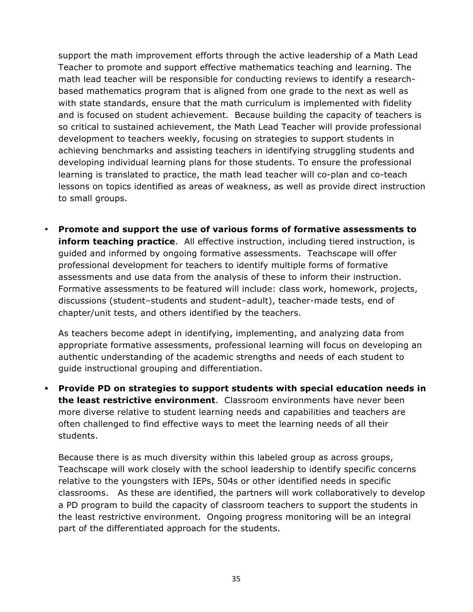support the math improvement efforts through the active leadership of a Math Lead Teacher to promote and support effective mathematics teaching and learning. The math lead teacher will be responsible for conducting reviews to identify a researchbased mathematics program that is aligned from one grade to the next as well as with state standards, ensure that the math curriculum is implemented with fidelity and is focused on student achievement. Because building the capacity of teachers is so critical to sustained achievement, the Math Lead Teacher will provide professional development to teachers weekly, focusing on strategies to support students in achieving benchmarks and assisting teachers in identifying struggling students and developing individual learning plans for those students. To ensure the professional learning is translated to practice, the math lead teacher will co-plan and co-teach lessons on topics identified as areas of weakness, as well as provide direct instruction to small groups.

• **Promote and support the use of various forms of formative assessments to inform teaching practice**. All effective instruction, including tiered instruction, is guided and informed by ongoing formative assessments. Teachscape will offer professional development for teachers to identify multiple forms of formative assessments and use data from the analysis of these to inform their instruction. Formative assessments to be featured will include: class work, homework, projects, discussions (student–students and student–adult), teacher-made tests, end of chapter/unit tests, and others identified by the teachers.

As teachers become adept in identifying, implementing, and analyzing data from appropriate formative assessments, professional learning will focus on developing an authentic understanding of the academic strengths and needs of each student to guide instructional grouping and differentiation.

! **Provide PD on strategies to support students with special education needs in the least restrictive environment**. Classroom environments have never been more diverse relative to student learning needs and capabilities and teachers are often challenged to find effective ways to meet the learning needs of all their students.

Because there is as much diversity within this labeled group as across groups, Teachscape will work closely with the school leadership to identify specific concerns relative to the youngsters with IEPs, 504s or other identified needs in specific classrooms. As these are identified, the partners will work collaboratively to develop a PD program to build the capacity of classroom teachers to support the students in the least restrictive environment. Ongoing progress monitoring will be an integral part of the differentiated approach for the students.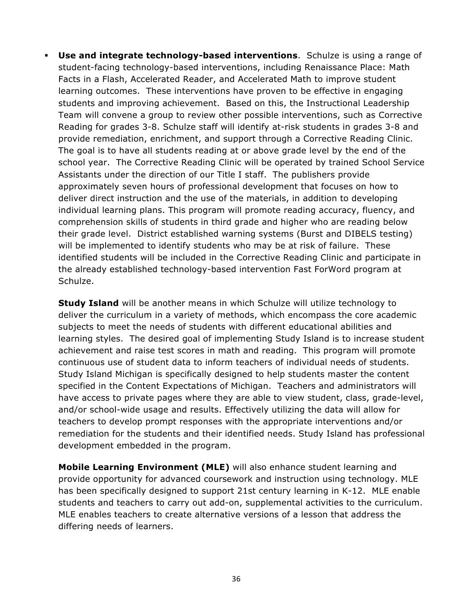! **Use and integrate technology-based interventions**. Schulze is using a range of student-facing technology-based interventions, including Renaissance Place: Math Facts in a Flash, Accelerated Reader, and Accelerated Math to improve student learning outcomes. These interventions have proven to be effective in engaging students and improving achievement. Based on this, the Instructional Leadership Team will convene a group to review other possible interventions, such as Corrective Reading for grades 3-8. Schulze staff will identify at-risk students in grades 3-8 and provide remediation, enrichment, and support through a Corrective Reading Clinic. The goal is to have all students reading at or above grade level by the end of the school year. The Corrective Reading Clinic will be operated by trained School Service Assistants under the direction of our Title I staff. The publishers provide approximately seven hours of professional development that focuses on how to deliver direct instruction and the use of the materials, in addition to developing individual learning plans. This program will promote reading accuracy, fluency, and comprehension skills of students in third grade and higher who are reading below their grade level. District established warning systems (Burst and DIBELS testing) will be implemented to identify students who may be at risk of failure. These identified students will be included in the Corrective Reading Clinic and participate in the already established technology-based intervention Fast ForWord program at Schulze.

**Study Island** will be another means in which Schulze will utilize technology to deliver the curriculum in a variety of methods, which encompass the core academic subjects to meet the needs of students with different educational abilities and learning styles. The desired goal of implementing Study Island is to increase student achievement and raise test scores in math and reading. This program will promote continuous use of student data to inform teachers of individual needs of students. Study Island Michigan is specifically designed to help students master the content specified in the Content Expectations of Michigan. Teachers and administrators will have access to private pages where they are able to view student, class, grade-level, and/or school-wide usage and results. Effectively utilizing the data will allow for teachers to develop prompt responses with the appropriate interventions and/or remediation for the students and their identified needs. Study Island has professional development embedded in the program.

**Mobile Learning Environment (MLE)** will also enhance student learning and provide opportunity for advanced coursework and instruction using technology. MLE has been specifically designed to support 21st century learning in K-12. MLE enable students and teachers to carry out add-on, supplemental activities to the curriculum. MLE enables teachers to create alternative versions of a lesson that address the differing needs of learners.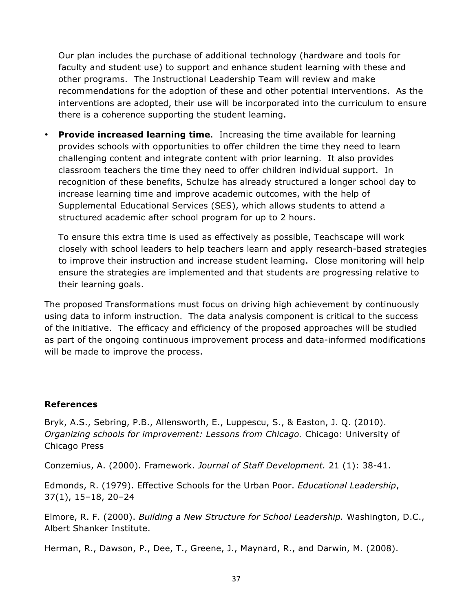Our plan includes the purchase of additional technology (hardware and tools for faculty and student use) to support and enhance student learning with these and other programs. The Instructional Leadership Team will review and make recommendations for the adoption of these and other potential interventions. As the interventions are adopted, their use will be incorporated into the curriculum to ensure there is a coherence supporting the student learning.

• **Provide increased learning time**. Increasing the time available for learning provides schools with opportunities to offer children the time they need to learn challenging content and integrate content with prior learning. It also provides classroom teachers the time they need to offer children individual support. In recognition of these benefits, Schulze has already structured a longer school day to increase learning time and improve academic outcomes, with the help of Supplemental Educational Services (SES), which allows students to attend a structured academic after school program for up to 2 hours.

To ensure this extra time is used as effectively as possible, Teachscape will work closely with school leaders to help teachers learn and apply research-based strategies to improve their instruction and increase student learning. Close monitoring will help ensure the strategies are implemented and that students are progressing relative to their learning goals.

The proposed Transformations must focus on driving high achievement by continuously using data to inform instruction. The data analysis component is critical to the success of the initiative. The efficacy and efficiency of the proposed approaches will be studied as part of the ongoing continuous improvement process and data-informed modifications will be made to improve the process.

#### **References**

Bryk, A.S., Sebring, P.B., Allensworth, E., Luppescu, S., & Easton, J. Q. (2010). *Organizing schools for improvement: Lessons from Chicago.* Chicago: University of Chicago Press

Conzemius, A. (2000). Framework. *Journal of Staff Development.* 21 (1): 38-41.

Edmonds, R. (1979). Effective Schools for the Urban Poor. *Educational Leadership*, 37(1), 15–18, 20–24

Elmore, R. F. (2000). *Building a New Structure for School Leadership.* Washington, D.C., Albert Shanker Institute.

Herman, R., Dawson, P., Dee, T., Greene, J., Maynard, R., and Darwin, M. (2008).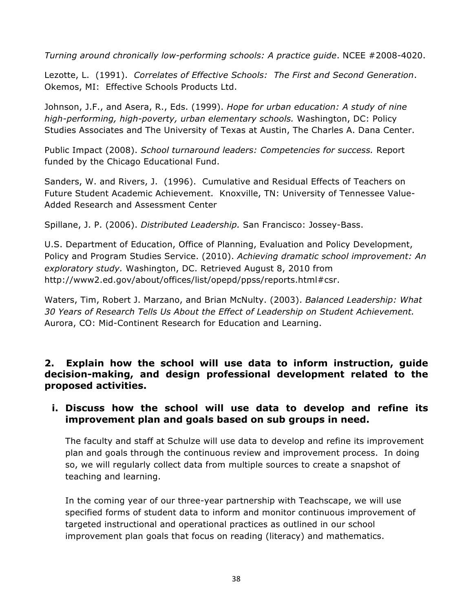*Turning around chronically low-performing schools: A practice guide*. NCEE #2008-4020.

Lezotte, L. (1991). *Correlates of Effective Schools: The First and Second Generation*. Okemos, MI: Effective Schools Products Ltd.

Johnson, J.F., and Asera, R., Eds. (1999). *Hope for urban education: A study of nine high-performing, high-poverty, urban elementary schools.* Washington, DC: Policy Studies Associates and The University of Texas at Austin, The Charles A. Dana Center.

Public Impact (2008). *School turnaround leaders: Competencies for success.* Report funded by the Chicago Educational Fund.

Sanders, W. and Rivers, J. (1996). Cumulative and Residual Effects of Teachers on Future Student Academic Achievement. Knoxville, TN: University of Tennessee Value-Added Research and Assessment Center

Spillane, J. P. (2006). *Distributed Leadership.* San Francisco: Jossey-Bass.

U.S. Department of Education, Office of Planning, Evaluation and Policy Development, Policy and Program Studies Service. (2010). *Achieving dramatic school improvement: An exploratory study.* Washington, DC. Retrieved August 8, 2010 from http://www2.ed.gov/about/offices/list/opepd/ppss/reports.html#csr.

Waters, Tim, Robert J. Marzano, and Brian McNulty. (2003). *Balanced Leadership: What 30 Years of Research Tells Us About the Effect of Leadership on Student Achievement.*  Aurora, CO: Mid-Continent Research for Education and Learning.

**2. Explain how the school will use data to inform instruction, guide decision-making, and design professional development related to the proposed activities.**

## **i. Discuss how the school will use data to develop and refine its improvement plan and goals based on sub groups in need.**

The faculty and staff at Schulze will use data to develop and refine its improvement plan and goals through the continuous review and improvement process. In doing so, we will regularly collect data from multiple sources to create a snapshot of teaching and learning.

In the coming year of our three-year partnership with Teachscape, we will use specified forms of student data to inform and monitor continuous improvement of targeted instructional and operational practices as outlined in our school improvement plan goals that focus on reading (literacy) and mathematics.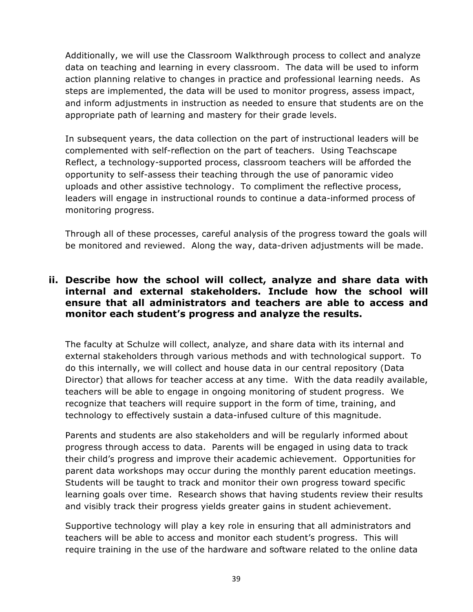Additionally, we will use the Classroom Walkthrough process to collect and analyze data on teaching and learning in every classroom. The data will be used to inform action planning relative to changes in practice and professional learning needs. As steps are implemented, the data will be used to monitor progress, assess impact, and inform adjustments in instruction as needed to ensure that students are on the appropriate path of learning and mastery for their grade levels.

In subsequent years, the data collection on the part of instructional leaders will be complemented with self-reflection on the part of teachers. Using Teachscape Reflect, a technology-supported process, classroom teachers will be afforded the opportunity to self-assess their teaching through the use of panoramic video uploads and other assistive technology. To compliment the reflective process, leaders will engage in instructional rounds to continue a data-informed process of monitoring progress.

Through all of these processes, careful analysis of the progress toward the goals will be monitored and reviewed. Along the way, data-driven adjustments will be made.

### **ii. Describe how the school will collect, analyze and share data with internal and external stakeholders. Include how the school will ensure that all administrators and teachers are able to access and monitor each student's progress and analyze the results.**

The faculty at Schulze will collect, analyze, and share data with its internal and external stakeholders through various methods and with technological support. To do this internally, we will collect and house data in our central repository (Data Director) that allows for teacher access at any time. With the data readily available, teachers will be able to engage in ongoing monitoring of student progress. We recognize that teachers will require support in the form of time, training, and technology to effectively sustain a data-infused culture of this magnitude.

Parents and students are also stakeholders and will be regularly informed about progress through access to data. Parents will be engaged in using data to track their child's progress and improve their academic achievement. Opportunities for parent data workshops may occur during the monthly parent education meetings. Students will be taught to track and monitor their own progress toward specific learning goals over time. Research shows that having students review their results and visibly track their progress yields greater gains in student achievement.

Supportive technology will play a key role in ensuring that all administrators and teachers will be able to access and monitor each student's progress. This will require training in the use of the hardware and software related to the online data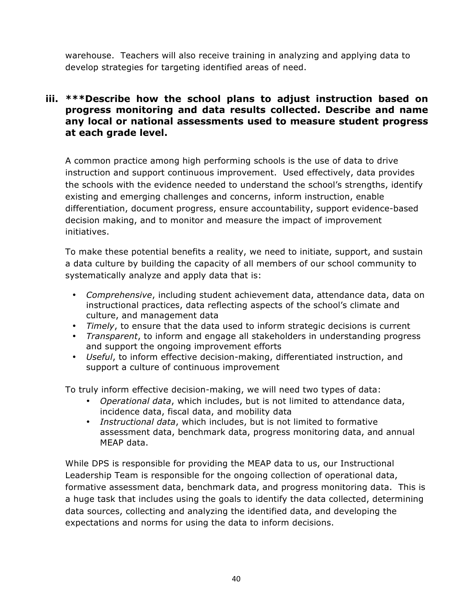warehouse. Teachers will also receive training in analyzing and applying data to develop strategies for targeting identified areas of need.

### **iii. \*\*\*Describe how the school plans to adjust instruction based on progress monitoring and data results collected. Describe and name any local or national assessments used to measure student progress at each grade level.**

A common practice among high performing schools is the use of data to drive instruction and support continuous improvement. Used effectively, data provides the schools with the evidence needed to understand the school's strengths, identify existing and emerging challenges and concerns, inform instruction, enable differentiation, document progress, ensure accountability, support evidence-based decision making, and to monitor and measure the impact of improvement initiatives.

To make these potential benefits a reality, we need to initiate, support, and sustain a data culture by building the capacity of all members of our school community to systematically analyze and apply data that is:

- *Comprehensive*, including student achievement data, attendance data, data on instructional practices, data reflecting aspects of the school's climate and culture, and management data
- *Timely*, to ensure that the data used to inform strategic decisions is current
- *Transparent*, to inform and engage all stakeholders in understanding progress and support the ongoing improvement efforts
- *Useful*, to inform effective decision-making, differentiated instruction, and support a culture of continuous improvement

To truly inform effective decision-making, we will need two types of data:

- *Operational data*, which includes, but is not limited to attendance data, incidence data, fiscal data, and mobility data
- *Instructional data*, which includes, but is not limited to formative assessment data, benchmark data, progress monitoring data, and annual MEAP data.

While DPS is responsible for providing the MEAP data to us, our Instructional Leadership Team is responsible for the ongoing collection of operational data, formative assessment data, benchmark data, and progress monitoring data. This is a huge task that includes using the goals to identify the data collected, determining data sources, collecting and analyzing the identified data, and developing the expectations and norms for using the data to inform decisions.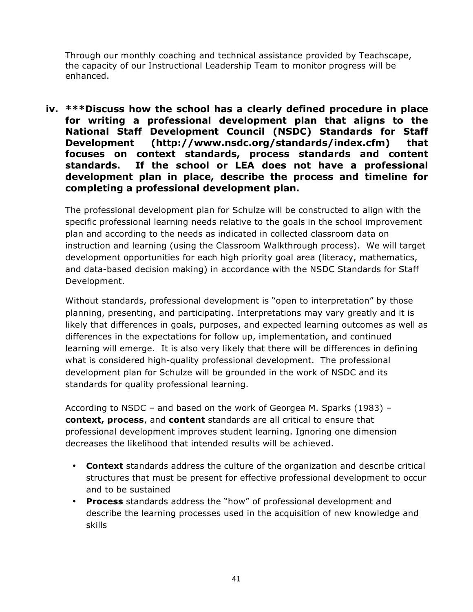Through our monthly coaching and technical assistance provided by Teachscape, the capacity of our Instructional Leadership Team to monitor progress will be enhanced.

**iv. \*\*\*Discuss how the school has a clearly defined procedure in place for writing a professional development plan that aligns to the National Staff Development Council (NSDC) Standards for Staff Development (http://www.nsdc.org/standards/index.cfm) that focuses on context standards, process standards and content standards. If the school or LEA does not have a professional development plan in place, describe the process and timeline for completing a professional development plan.**

The professional development plan for Schulze will be constructed to align with the specific professional learning needs relative to the goals in the school improvement plan and according to the needs as indicated in collected classroom data on instruction and learning (using the Classroom Walkthrough process). We will target development opportunities for each high priority goal area (literacy, mathematics, and data-based decision making) in accordance with the NSDC Standards for Staff Development.

Without standards, professional development is "open to interpretation" by those planning, presenting, and participating. Interpretations may vary greatly and it is likely that differences in goals, purposes, and expected learning outcomes as well as differences in the expectations for follow up, implementation, and continued learning will emerge. It is also very likely that there will be differences in defining what is considered high-quality professional development. The professional development plan for Schulze will be grounded in the work of NSDC and its standards for quality professional learning.

According to NSDC – and based on the work of Georgea M. Sparks (1983) – **context, process**, and **content** standards are all critical to ensure that professional development improves student learning. Ignoring one dimension decreases the likelihood that intended results will be achieved.

- **Context** standards address the culture of the organization and describe critical structures that must be present for effective professional development to occur and to be sustained
- **Process** standards address the "how" of professional development and describe the learning processes used in the acquisition of new knowledge and skills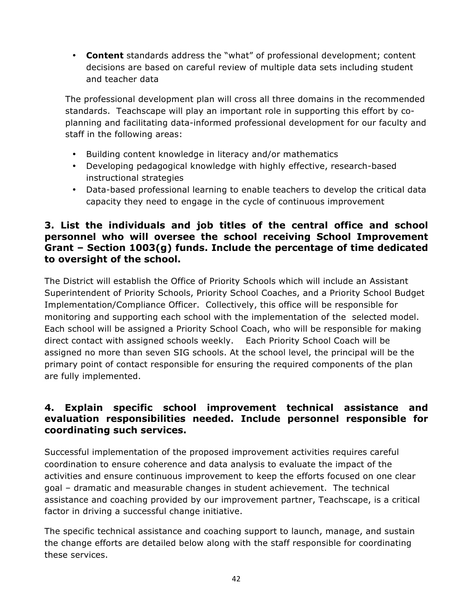• **Content** standards address the "what" of professional development; content decisions are based on careful review of multiple data sets including student and teacher data

The professional development plan will cross all three domains in the recommended standards. Teachscape will play an important role in supporting this effort by coplanning and facilitating data-informed professional development for our faculty and staff in the following areas:

- Building content knowledge in literacy and/or mathematics
- Developing pedagogical knowledge with highly effective, research-based instructional strategies
- Data-based professional learning to enable teachers to develop the critical data capacity they need to engage in the cycle of continuous improvement

### **3. List the individuals and job titles of the central office and school personnel who will oversee the school receiving School Improvement Grant – Section 1003(g) funds. Include the percentage of time dedicated to oversight of the school.**

The District will establish the Office of Priority Schools which will include an Assistant Superintendent of Priority Schools, Priority School Coaches, and a Priority School Budget Implementation/Compliance Officer. Collectively, this office will be responsible for monitoring and supporting each school with the implementation of the selected model. Each school will be assigned a Priority School Coach, who will be responsible for making direct contact with assigned schools weekly. Each Priority School Coach will be assigned no more than seven SIG schools. At the school level, the principal will be the primary point of contact responsible for ensuring the required components of the plan are fully implemented.

## **4. Explain specific school improvement technical assistance and evaluation responsibilities needed. Include personnel responsible for coordinating such services.**

Successful implementation of the proposed improvement activities requires careful coordination to ensure coherence and data analysis to evaluate the impact of the activities and ensure continuous improvement to keep the efforts focused on one clear goal – dramatic and measurable changes in student achievement. The technical assistance and coaching provided by our improvement partner, Teachscape, is a critical factor in driving a successful change initiative.

The specific technical assistance and coaching support to launch, manage, and sustain the change efforts are detailed below along with the staff responsible for coordinating these services.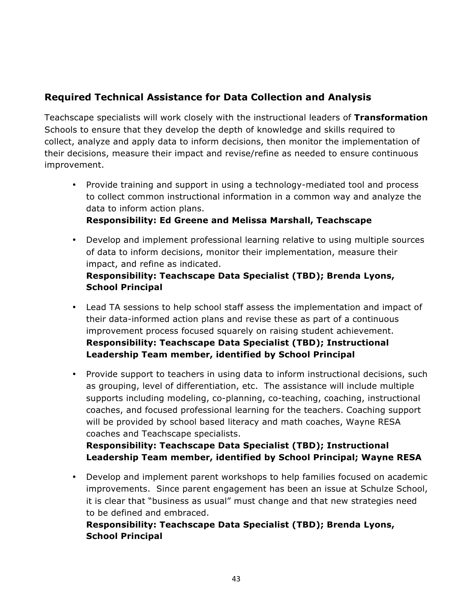## **Required Technical Assistance for Data Collection and Analysis**

Teachscape specialists will work closely with the instructional leaders of **Transformation** Schools to ensure that they develop the depth of knowledge and skills required to collect, analyze and apply data to inform decisions, then monitor the implementation of their decisions, measure their impact and revise/refine as needed to ensure continuous improvement.

• Provide training and support in using a technology-mediated tool and process to collect common instructional information in a common way and analyze the data to inform action plans.

### **Responsibility: Ed Greene and Melissa Marshall, Teachscape**

• Develop and implement professional learning relative to using multiple sources of data to inform decisions, monitor their implementation, measure their impact, and refine as indicated.

### **Responsibility: Teachscape Data Specialist (TBD); Brenda Lyons, School Principal**

- Lead TA sessions to help school staff assess the implementation and impact of their data-informed action plans and revise these as part of a continuous improvement process focused squarely on raising student achievement. **Responsibility: Teachscape Data Specialist (TBD); Instructional Leadership Team member, identified by School Principal**
- Provide support to teachers in using data to inform instructional decisions, such as grouping, level of differentiation, etc. The assistance will include multiple supports including modeling, co-planning, co-teaching, coaching, instructional coaches, and focused professional learning for the teachers. Coaching support will be provided by school based literacy and math coaches, Wayne RESA coaches and Teachscape specialists.

**Responsibility: Teachscape Data Specialist (TBD); Instructional Leadership Team member, identified by School Principal; Wayne RESA**

• Develop and implement parent workshops to help families focused on academic improvements. Since parent engagement has been an issue at Schulze School, it is clear that "business as usual" must change and that new strategies need to be defined and embraced.

### **Responsibility: Teachscape Data Specialist (TBD); Brenda Lyons, School Principal**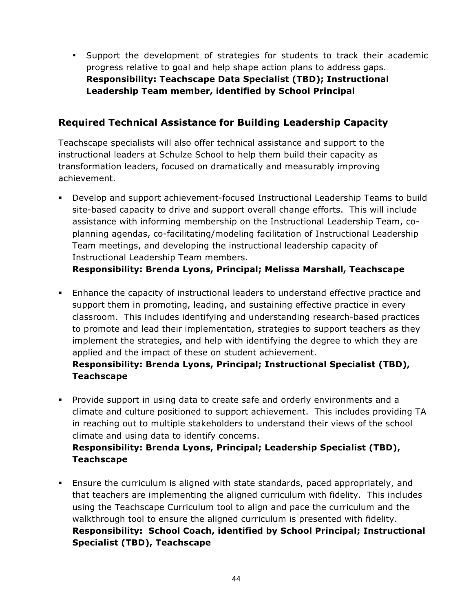• Support the development of strategies for students to track their academic progress relative to goal and help shape action plans to address gaps. **Responsibility: Teachscape Data Specialist (TBD); Instructional Leadership Team member, identified by School Principal**

## **Required Technical Assistance for Building Leadership Capacity**

Teachscape specialists will also offer technical assistance and support to the instructional leaders at Schulze School to help them build their capacity as transformation leaders, focused on dramatically and measurably improving achievement.

! Develop and support achievement-focused Instructional Leadership Teams to build site-based capacity to drive and support overall change efforts. This will include assistance with informing membership on the Instructional Leadership Team, coplanning agendas, co-facilitating/modeling facilitation of Instructional Leadership Team meetings, and developing the instructional leadership capacity of Instructional Leadership Team members.

**Responsibility: Brenda Lyons, Principal; Melissa Marshall, Teachscape**

! Enhance the capacity of instructional leaders to understand effective practice and support them in promoting, leading, and sustaining effective practice in every classroom. This includes identifying and understanding research-based practices to promote and lead their implementation, strategies to support teachers as they implement the strategies, and help with identifying the degree to which they are applied and the impact of these on student achievement.

### **Responsibility: Brenda Lyons, Principal; Instructional Specialist (TBD), Teachscape**

- ! Provide support in using data to create safe and orderly environments and a climate and culture positioned to support achievement. This includes providing TA in reaching out to multiple stakeholders to understand their views of the school climate and using data to identify concerns. **Responsibility: Brenda Lyons, Principal; Leadership Specialist (TBD), Teachscape**
- ! Ensure the curriculum is aligned with state standards, paced appropriately, and that teachers are implementing the aligned curriculum with fidelity. This includes using the Teachscape Curriculum tool to align and pace the curriculum and the walkthrough tool to ensure the aligned curriculum is presented with fidelity. **Responsibility: School Coach, identified by School Principal; Instructional Specialist (TBD), Teachscape**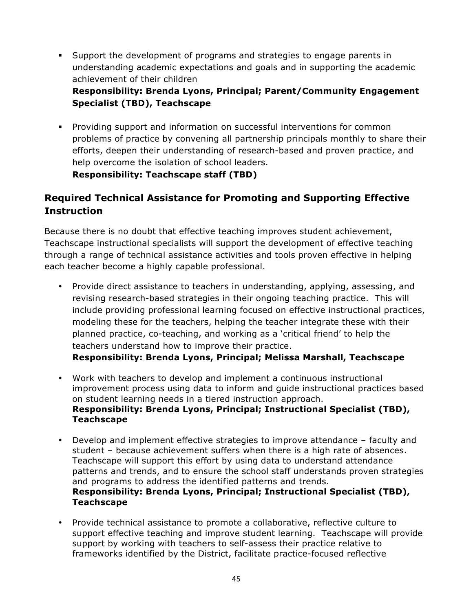- ! Support the development of programs and strategies to engage parents in understanding academic expectations and goals and in supporting the academic achievement of their children **Responsibility: Brenda Lyons, Principal; Parent/Community Engagement Specialist (TBD), Teachscape**
- ! Providing support and information on successful interventions for common problems of practice by convening all partnership principals monthly to share their efforts, deepen their understanding of research-based and proven practice, and help overcome the isolation of school leaders. **Responsibility: Teachscape staff (TBD)**

## **Required Technical Assistance for Promoting and Supporting Effective Instruction**

Because there is no doubt that effective teaching improves student achievement, Teachscape instructional specialists will support the development of effective teaching through a range of technical assistance activities and tools proven effective in helping each teacher become a highly capable professional.

- Provide direct assistance to teachers in understanding, applying, assessing, and revising research-based strategies in their ongoing teaching practice. This will include providing professional learning focused on effective instructional practices, modeling these for the teachers, helping the teacher integrate these with their planned practice, co-teaching, and working as a 'critical friend' to help the teachers understand how to improve their practice. **Responsibility: Brenda Lyons, Principal; Melissa Marshall, Teachscape**
- Work with teachers to develop and implement a continuous instructional improvement process using data to inform and guide instructional practices based on student learning needs in a tiered instruction approach. **Responsibility: Brenda Lyons, Principal; Instructional Specialist (TBD), Teachscape**
- Develop and implement effective strategies to improve attendance faculty and student – because achievement suffers when there is a high rate of absences. Teachscape will support this effort by using data to understand attendance patterns and trends, and to ensure the school staff understands proven strategies and programs to address the identified patterns and trends. **Responsibility: Brenda Lyons, Principal; Instructional Specialist (TBD), Teachscape**
- Provide technical assistance to promote a collaborative, reflective culture to support effective teaching and improve student learning. Teachscape will provide support by working with teachers to self-assess their practice relative to frameworks identified by the District, facilitate practice-focused reflective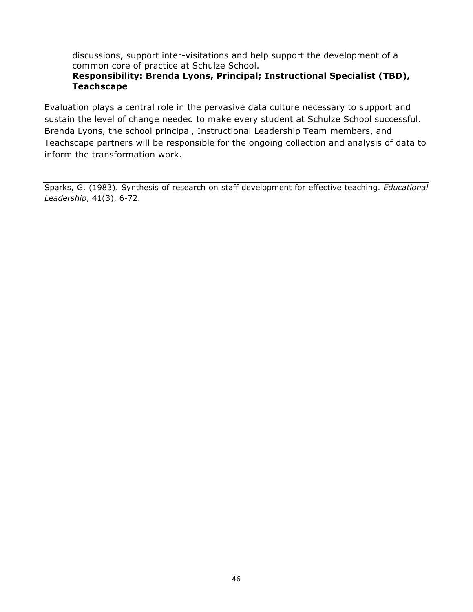discussions, support inter-visitations and help support the development of a common core of practice at Schulze School.

### **Responsibility: Brenda Lyons, Principal; Instructional Specialist (TBD), Teachscape**

Evaluation plays a central role in the pervasive data culture necessary to support and sustain the level of change needed to make every student at Schulze School successful. Brenda Lyons, the school principal, Instructional Leadership Team members, and Teachscape partners will be responsible for the ongoing collection and analysis of data to inform the transformation work.

Sparks, G. (1983). Synthesis of research on staff development for effective teaching. *Educational Leadership*, 41(3), 6-72.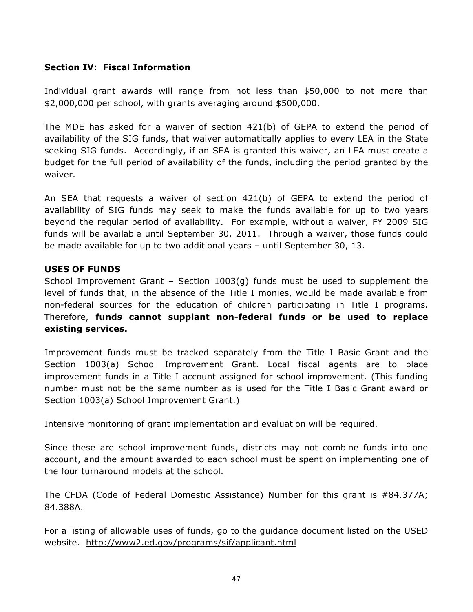#### **Section IV: Fiscal Information**

Individual grant awards will range from not less than \$50,000 to not more than \$2,000,000 per school, with grants averaging around \$500,000.

The MDE has asked for a waiver of section 421(b) of GEPA to extend the period of availability of the SIG funds, that waiver automatically applies to every LEA in the State seeking SIG funds. Accordingly, if an SEA is granted this waiver, an LEA must create a budget for the full period of availability of the funds, including the period granted by the waiver.

An SEA that requests a waiver of section 421(b) of GEPA to extend the period of availability of SIG funds may seek to make the funds available for up to two years beyond the regular period of availability. For example, without a waiver, FY 2009 SIG funds will be available until September 30, 2011. Through a waiver, those funds could be made available for up to two additional years – until September 30, 13.

#### **USES OF FUNDS**

School Improvement Grant – Section 1003(g) funds must be used to supplement the level of funds that, in the absence of the Title I monies, would be made available from non-federal sources for the education of children participating in Title I programs. Therefore, **funds cannot supplant non-federal funds or be used to replace existing services.** 

Improvement funds must be tracked separately from the Title I Basic Grant and the Section 1003(a) School Improvement Grant. Local fiscal agents are to place improvement funds in a Title I account assigned for school improvement. (This funding number must not be the same number as is used for the Title I Basic Grant award or Section 1003(a) School Improvement Grant.)

Intensive monitoring of grant implementation and evaluation will be required.

Since these are school improvement funds, districts may not combine funds into one account, and the amount awarded to each school must be spent on implementing one of the four turnaround models at the school.

The CFDA (Code of Federal Domestic Assistance) Number for this grant is #84.377A; 84.388A.

For a listing of allowable uses of funds, go to the guidance document listed on the USED website. http://www2.ed.gov/programs/sif/applicant.html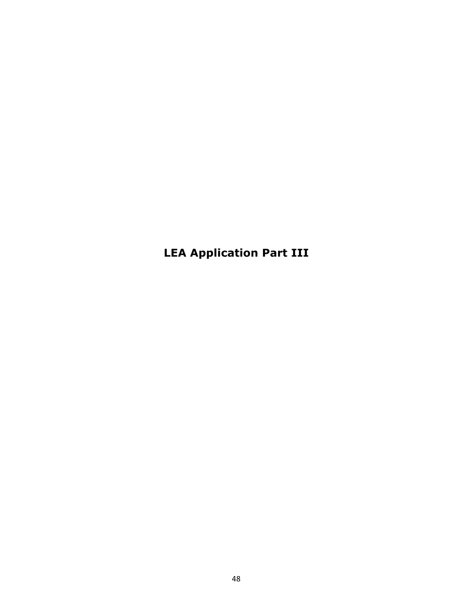**LEA Application Part III**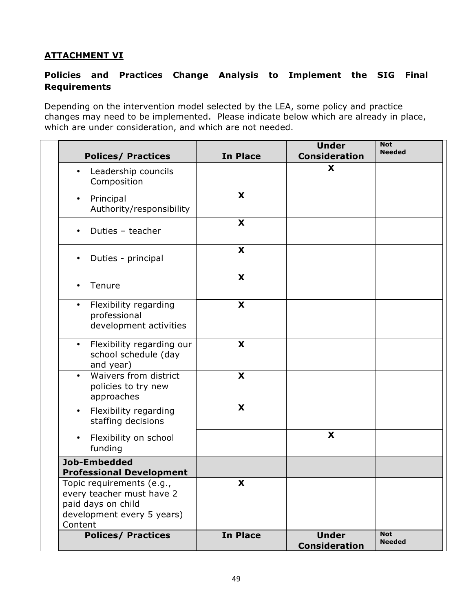### **ATTACHMENT VI**

### **Policies and Practices Change Analysis to Implement the SIG Final Requirements**

Depending on the intervention model selected by the LEA, some policy and practice changes may need to be implemented. Please indicate below which are already in place, which are under consideration, and which are not needed.

| <b>Polices/ Practices</b>                                                                                             | <b>In Place</b> | <b>Under</b><br><b>Consideration</b> | <b>Not</b><br><b>Needed</b> |
|-----------------------------------------------------------------------------------------------------------------------|-----------------|--------------------------------------|-----------------------------|
| Leadership councils<br>$\bullet$<br>Composition                                                                       |                 | X                                    |                             |
| Principal<br>$\bullet$<br>Authority/responsibility                                                                    | X               |                                      |                             |
| Duties - teacher                                                                                                      | X               |                                      |                             |
| Duties - principal                                                                                                    | X               |                                      |                             |
| Tenure                                                                                                                | X               |                                      |                             |
| Flexibility regarding<br>$\bullet$<br>professional<br>development activities                                          | X               |                                      |                             |
| Flexibility regarding our<br>$\bullet$<br>school schedule (day<br>and year)                                           | X               |                                      |                             |
| Waivers from district<br>$\bullet$<br>policies to try new<br>approaches                                               | X               |                                      |                             |
| Flexibility regarding<br>$\bullet$<br>staffing decisions                                                              | X               |                                      |                             |
| Flexibility on school<br>$\bullet$<br>funding                                                                         |                 | X                                    |                             |
| Job-Embedded<br><b>Professional Development</b>                                                                       |                 |                                      |                             |
| Topic requirements (e.g.,<br>every teacher must have 2<br>paid days on child<br>development every 5 years)<br>Content | X               |                                      |                             |
| <b>Polices/ Practices</b>                                                                                             | <b>In Place</b> | <b>Under</b><br><b>Consideration</b> | <b>Not</b><br><b>Needed</b> |